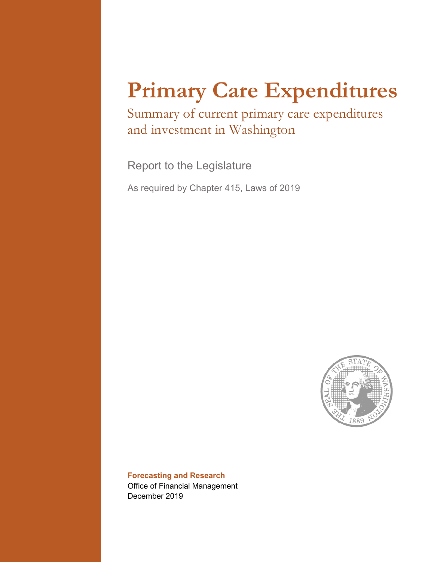# **Primary Care Expenditures**

Summary of current primary care expenditures and investment in Washington

Report to the Legislature

As required by Chapter 415, Laws of 2019



**Forecasting and Research**  Office of Financial Management December 2019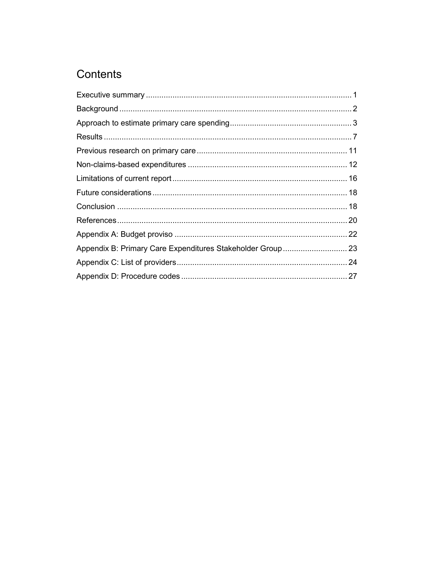# Contents

| Appendix B: Primary Care Expenditures Stakeholder Group  23 |  |
|-------------------------------------------------------------|--|
|                                                             |  |
|                                                             |  |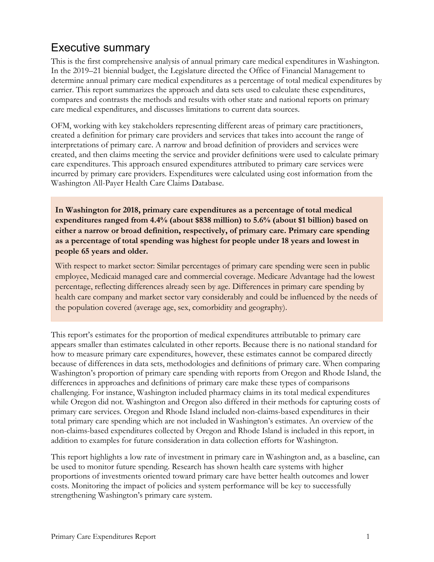# <span id="page-2-0"></span>Executive summary

This is the first comprehensive analysis of annual primary care medical expenditures in Washington. In the 2019–21 biennial budget, the Legislature directed the Office of Financial Management to determine annual primary care medical expenditures as a percentage of total medical expenditures by carrier. This report summarizes the approach and data sets used to calculate these expenditures, compares and contrasts the methods and results with other state and national reports on primary care medical expenditures, and discusses limitations to current data sources.

OFM, working with key stakeholders representing different areas of primary care practitioners, created a definition for primary care providers and services that takes into account the range of interpretations of primary care. A narrow and broad definition of providers and services were created, and then claims meeting the service and provider definitions were used to calculate primary care expenditures. This approach ensured expenditures attributed to primary care services were incurred by primary care providers. Expenditures were calculated using cost information from the Washington All-Payer Health Care Claims Database.

**In Washington for 2018, primary care expenditures as a percentage of total medical expenditures ranged from 4.4% (about \$838 million) to 5.6% (about \$1 billion) based on either a narrow or broad definition, respectively, of primary care. Primary care spending as a percentage of total spending was highest for people under 18 years and lowest in people 65 years and older.**

With respect to market sector: Similar percentages of primary care spending were seen in public employee, Medicaid managed care and commercial coverage. Medicare Advantage had the lowest percentage, reflecting differences already seen by age. Differences in primary care spending by health care company and market sector vary considerably and could be influenced by the needs of the population covered (average age, sex, comorbidity and geography).

This report's estimates for the proportion of medical expenditures attributable to primary care appears smaller than estimates calculated in other reports. Because there is no national standard for how to measure primary care expenditures, however, these estimates cannot be compared directly because of differences in data sets, methodologies and definitions of primary care. When comparing Washington's proportion of primary care spending with reports from Oregon and Rhode Island, the differences in approaches and definitions of primary care make these types of comparisons challenging. For instance, Washington included pharmacy claims in its total medical expenditures while Oregon did not. Washington and Oregon also differed in their methods for capturing costs of primary care services. Oregon and Rhode Island included non-claims-based expenditures in their total primary care spending which are not included in Washington's estimates. An overview of the non-claims-based expenditures collected by Oregon and Rhode Island is included in this report, in addition to examples for future consideration in data collection efforts for Washington.

This report highlights a low rate of investment in primary care in Washington and, as a baseline, can be used to monitor future spending. Research has shown health care systems with higher proportions of investments oriented toward primary care have better health outcomes and lower costs. Monitoring the impact of policies and system performance will be key to successfully strengthening Washington's primary care system.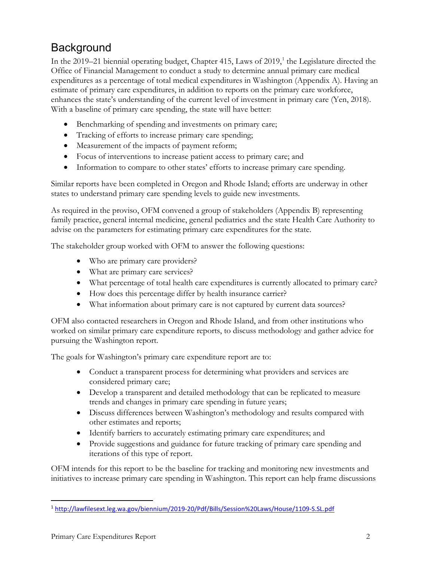# <span id="page-3-0"></span>**Background**

In the 2019–21 biennial operating budget, Chapter 415, Laws of 2019, [1](#page-3-1) the Legislature directed the Office of Financial Management to conduct a study to determine annual primary care medical expenditures as a percentage of total medical expenditures in Washington (Appendix A). Having an estimate of primary care expenditures, in addition to reports on the primary care workforce, enhances the state's understanding of the current level of investment in primary care (Yen, 2018). With a baseline of primary care spending, the state will have better:

- Benchmarking of spending and investments on primary care;
- Tracking of efforts to increase primary care spending;
- Measurement of the impacts of payment reform;
- Focus of interventions to increase patient access to primary care; and
- Information to compare to other states' efforts to increase primary care spending.

Similar reports have been completed in Oregon and Rhode Island; efforts are underway in other states to understand primary care spending levels to guide new investments.

As required in the proviso, OFM convened a group of stakeholders (Appendix B) representing family practice, general internal medicine, general pediatrics and the state Health Care Authority to advise on the parameters for estimating primary care expenditures for the state.

The stakeholder group worked with OFM to answer the following questions:

- Who are primary care providers?
- What are primary care services?
- What percentage of total health care expenditures is currently allocated to primary care?
- How does this percentage differ by health insurance carrier?
- What information about primary care is not captured by current data sources?

OFM also contacted researchers in Oregon and Rhode Island, and from other institutions who worked on similar primary care expenditure reports, to discuss methodology and gather advice for pursuing the Washington report.

The goals for Washington's primary care expenditure report are to:

- Conduct a transparent process for determining what providers and services are considered primary care;
- Develop a transparent and detailed methodology that can be replicated to measure trends and changes in primary care spending in future years;
- Discuss differences between Washington's methodology and results compared with other estimates and reports;
- Identify barriers to accurately estimating primary care expenditures; and
- Provide suggestions and guidance for future tracking of primary care spending and iterations of this type of report.

OFM intends for this report to be the baseline for tracking and monitoring new investments and initiatives to increase primary care spending in Washington. This report can help frame discussions

<span id="page-3-1"></span> <sup>1</sup> <http://lawfilesext.leg.wa.gov/biennium/2019-20/Pdf/Bills/Session%20Laws/House/1109-S.SL.pdf>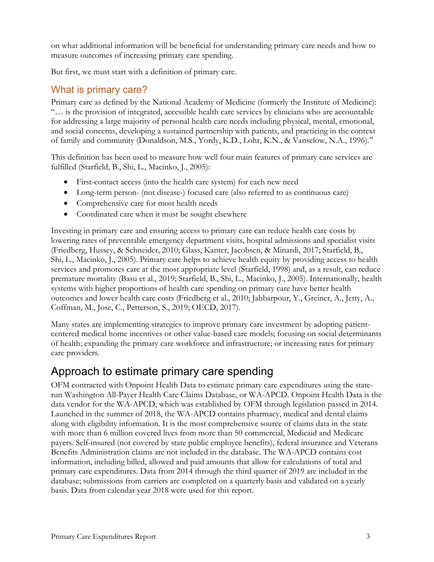on what additional information will be beneficial for understanding primary care needs and how to measure outcomes of increasing primary care spending.

But first, we must start with a definition of primary care.

## What is primary care?

Primary care as defined by the National Academy of Medicine (formerly the Institute of Medicine): "… is the provision of integrated, accessible health care services by clinicians who are accountable for addressing a large majority of personal health care needs including physical, mental, emotional, and social concerns, developing a sustained partnership with patients, and practicing in the context of family and community (Donaldson, M.S., Yordy, K.D., Lohr, K.N., & Vanselow, N.A., 1996)."

This definition has been used to measure how well four main features of primary care services are fulfilled (Starfield, B., Shi, L., Macinko, J., 2005):

- First-contact access (into the health care system) for each new need
- Long-term person- (not disease-) focused care (also referred to as continuous care)
- Comprehensive care for most health needs
- Coordinated care when it must be sought elsewhere

Investing in primary care and ensuring access to primary care can reduce health care costs by lowering rates of preventable emergency department visits, hospital admissions and specialist visits (Friedberg, Hussey, & Schneider, 2010; Glass, Kanter, Jacobsen, & Minardi, 2017; Starfield, B., Shi, L., Macinko, J., 2005). Primary care helps to achieve health equity by providing access to health services and promotes care at the most appropriate level (Starfield, 1998) and, as a result, can reduce premature mortality (Basu et al., 2019; Starfield, B., Shi, L., Macinko, J., 2005). Internationally, health systems with higher proportions of health care spending on primary care have better health outcomes and lower health care costs (Friedberg et al., 2010; Jabbarpour, Y., Greiner, A., Jetty, A., Coffman, M., Jose, C., Petterson, S., 2019; OECD, 2017).

Many states are implementing strategies to improve primary care investment by adopting patientcentered medical home incentives or other value-based care models; focusing on social determinants of health; expanding the primary care workforce and infrastructure; or increasing rates for primary care providers.

# <span id="page-4-0"></span>Approach to estimate primary care spending

OFM contracted with Onpoint Health Data to estimate primary care expenditures using the staterun Washington All-Payer Health Care Claims Database, or WA-APCD. Onpoint Health Data is the data vendor for the WA-APCD, which was established by OFM through legislation passed in 2014. Launched in the summer of 2018, the WA-APCD contains pharmacy, medical and dental claims along with eligibility information. It is the most comprehensive source of claims data in the state with more than 6 million covered lives from more than 50 commercial, Medicaid and Medicare payers. Self-insured (not covered by state public employee benefits), federal insurance and Veterans Benefits Administration claims are not included in the database. The WA-APCD contains cost information, including billed, allowed and paid amounts that allow for calculations of total and primary care expenditures. Data from 2014 through the third quarter of 2019 are included in the database; submissions from carriers are completed on a quarterly basis and validated on a yearly basis. Data from calendar year 2018 were used for this report.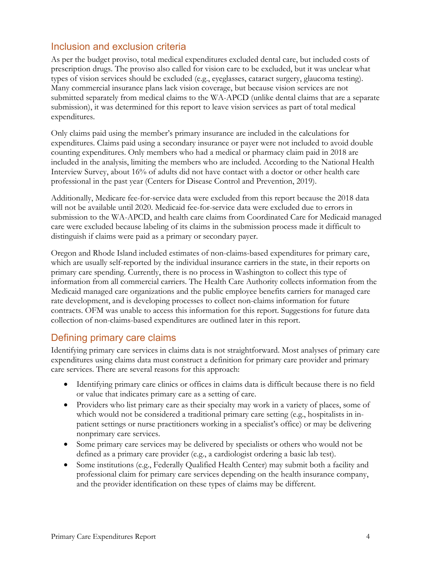#### Inclusion and exclusion criteria

As per the budget proviso, total medical expenditures excluded dental care, but included costs of prescription drugs. The proviso also called for vision care to be excluded, but it was unclear what types of vision services should be excluded (e.g., eyeglasses, cataract surgery, glaucoma testing). Many commercial insurance plans lack vision coverage, but because vision services are not submitted separately from medical claims to the WA-APCD (unlike dental claims that are a separate submission), it was determined for this report to leave vision services as part of total medical expenditures.

Only claims paid using the member's primary insurance are included in the calculations for expenditures. Claims paid using a secondary insurance or payer were not included to avoid double counting expenditures. Only members who had a medical or pharmacy claim paid in 2018 are included in the analysis, limiting the members who are included. According to the National Health Interview Survey, about 16% of adults did not have contact with a doctor or other health care professional in the past year (Centers for Disease Control and Prevention, 2019).

Additionally, Medicare fee-for-service data were excluded from this report because the 2018 data will not be available until 2020. Medicaid fee-for-service data were excluded due to errors in submission to the WA-APCD, and health care claims from Coordinated Care for Medicaid managed care were excluded because labeling of its claims in the submission process made it difficult to distinguish if claims were paid as a primary or secondary payer.

Oregon and Rhode Island included estimates of non-claims-based expenditures for primary care, which are usually self-reported by the individual insurance carriers in the state, in their reports on primary care spending. Currently, there is no process in Washington to collect this type of information from all commercial carriers. The Health Care Authority collects information from the Medicaid managed care organizations and the public employee benefits carriers for managed care rate development, and is developing processes to collect non-claims information for future contracts. OFM was unable to access this information for this report. Suggestions for future data collection of non-claims-based expenditures are outlined later in this report.

#### Defining primary care claims

Identifying primary care services in claims data is not straightforward. Most analyses of primary care expenditures using claims data must construct a definition for primary care provider and primary care services. There are several reasons for this approach:

- Identifying primary care clinics or offices in claims data is difficult because there is no field or value that indicates primary care as a setting of care.
- Providers who list primary care as their specialty may work in a variety of places, some of which would not be considered a traditional primary care setting (e.g., hospitalists in inpatient settings or nurse practitioners working in a specialist's office) or may be delivering nonprimary care services.
- Some primary care services may be delivered by specialists or others who would not be defined as a primary care provider (e.g., a cardiologist ordering a basic lab test).
- Some institutions (e.g., Federally Qualified Health Center) may submit both a facility and professional claim for primary care services depending on the health insurance company, and the provider identification on these types of claims may be different.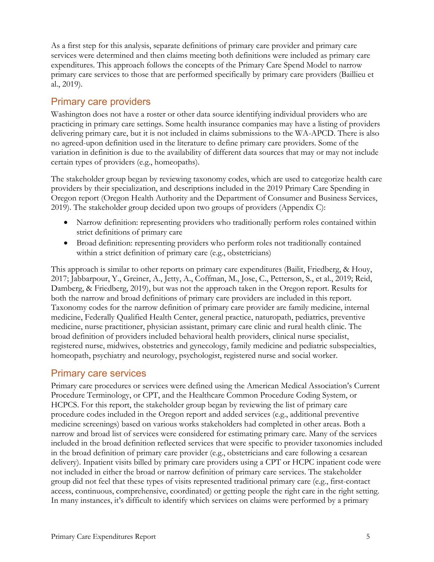As a first step for this analysis, separate definitions of primary care provider and primary care services were determined and then claims meeting both definitions were included as primary care expenditures. This approach follows the concepts of the Primary Care Spend Model to narrow primary care services to those that are performed specifically by primary care providers (Baillieu et al., 2019).

#### Primary care providers

Washington does not have a roster or other data source identifying individual providers who are practicing in primary care settings. Some health insurance companies may have a listing of providers delivering primary care, but it is not included in claims submissions to the WA-APCD. There is also no agreed-upon definition used in the literature to define primary care providers. Some of the variation in definition is due to the availability of different data sources that may or may not include certain types of providers (e.g., homeopaths).

The stakeholder group began by reviewing taxonomy codes, which are used to categorize health care providers by their specialization, and descriptions included in the 2019 Primary Care Spending in Oregon report (Oregon Health Authority and the Department of Consumer and Business Services, 2019). The stakeholder group decided upon two groups of providers (Appendix C):

- Narrow definition: representing providers who traditionally perform roles contained within strict definitions of primary care
- Broad definition: representing providers who perform roles not traditionally contained within a strict definition of primary care (e.g., obstetricians)

This approach is similar to other reports on primary care expenditures (Bailit, Friedberg, & Houy, 2017; Jabbarpour, Y., Greiner, A., Jetty, A., Coffman, M., Jose, C., Petterson, S., et al., 2019; Reid, Damberg, & Friedberg, 2019), but was not the approach taken in the Oregon report. Results for both the narrow and broad definitions of primary care providers are included in this report. Taxonomy codes for the narrow definition of primary care provider are family medicine, internal medicine, Federally Qualified Health Center, general practice, naturopath, pediatrics, preventive medicine, nurse practitioner, physician assistant, primary care clinic and rural health clinic. The broad definition of providers included behavioral health providers, clinical nurse specialist, registered nurse, midwives, obstetrics and gynecology, family medicine and pediatric subspecialties, homeopath, psychiatry and neurology, psychologist, registered nurse and social worker.

#### Primary care services

Primary care procedures or services were defined using the American Medical Association's Current Procedure Terminology, or CPT, and the Healthcare Common Procedure Coding System, or HCPCS. For this report, the stakeholder group began by reviewing the list of primary care procedure codes included in the Oregon report and added services (e.g., additional preventive medicine screenings) based on various works stakeholders had completed in other areas. Both a narrow and broad list of services were considered for estimating primary care. Many of the services included in the broad definition reflected services that were specific to provider taxonomies included in the broad definition of primary care provider (e.g., obstetricians and care following a cesarean delivery). Inpatient visits billed by primary care providers using a CPT or HCPC inpatient code were not included in either the broad or narrow definition of primary care services. The stakeholder group did not feel that these types of visits represented traditional primary care (e.g., first-contact access, continuous, comprehensive, coordinated) or getting people the right care in the right setting. In many instances, it's difficult to identify which services on claims were performed by a primary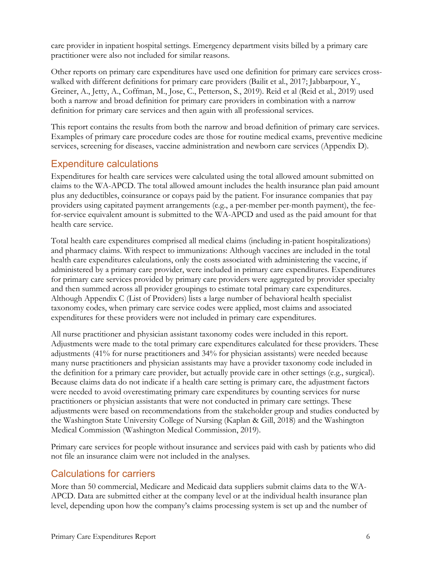care provider in inpatient hospital settings. Emergency department visits billed by a primary care practitioner were also not included for similar reasons.

Other reports on primary care expenditures have used one definition for primary care services crosswalked with different definitions for primary care providers (Bailit et al., 2017; Jabbarpour, Y., Greiner, A., Jetty, A., Coffman, M., Jose, C., Petterson, S., 2019). Reid et al (Reid et al., 2019) used both a narrow and broad definition for primary care providers in combination with a narrow definition for primary care services and then again with all professional services.

This report contains the results from both the narrow and broad definition of primary care services. Examples of primary care procedure codes are those for routine medical exams, preventive medicine services, screening for diseases, vaccine administration and newborn care services (Appendix D).

## Expenditure calculations

Expenditures for health care services were calculated using the total allowed amount submitted on claims to the WA-APCD. The total allowed amount includes the health insurance plan paid amount plus any deductibles, coinsurance or copays paid by the patient. For insurance companies that pay providers using capitated payment arrangements (e.g., a per-member per-month payment), the feefor-service equivalent amount is submitted to the WA-APCD and used as the paid amount for that health care service.

Total health care expenditures comprised all medical claims (including in-patient hospitalizations) and pharmacy claims. With respect to immunizations: Although vaccines are included in the total health care expenditures calculations, only the costs associated with administering the vaccine, if administered by a primary care provider, were included in primary care expenditures. Expenditures for primary care services provided by primary care providers were aggregated by provider specialty and then summed across all provider groupings to estimate total primary care expenditures. Although Appendix C (List of Providers) lists a large number of behavioral health specialist taxonomy codes, when primary care service codes were applied, most claims and associated expenditures for these providers were not included in primary care expenditures.

All nurse practitioner and physician assistant taxonomy codes were included in this report. Adjustments were made to the total primary care expenditures calculated for these providers. These adjustments (41% for nurse practitioners and 34% for physician assistants) were needed because many nurse practitioners and physician assistants may have a provider taxonomy code included in the definition for a primary care provider, but actually provide care in other settings (e.g., surgical). Because claims data do not indicate if a health care setting is primary care, the adjustment factors were needed to avoid overestimating primary care expenditures by counting services for nurse practitioners or physician assistants that were not conducted in primary care settings. These adjustments were based on recommendations from the stakeholder group and studies conducted by the Washington State University College of Nursing (Kaplan & Gill, 2018) and the Washington Medical Commission (Washington Medical Commission, 2019).

Primary care services for people without insurance and services paid with cash by patients who did not file an insurance claim were not included in the analyses.

## Calculations for carriers

More than 50 commercial, Medicare and Medicaid data suppliers submit claims data to the WA-APCD. Data are submitted either at the company level or at the individual health insurance plan level, depending upon how the company's claims processing system is set up and the number of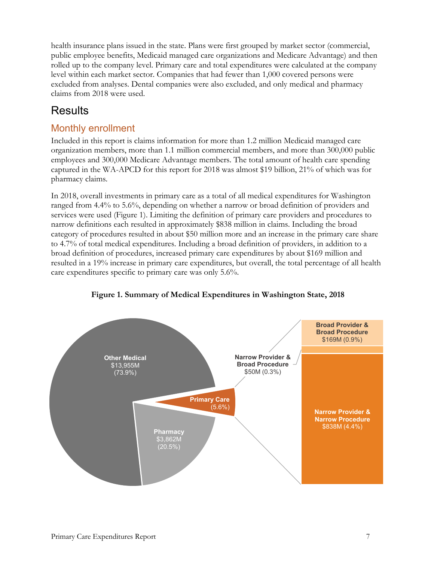health insurance plans issued in the state. Plans were first grouped by market sector (commercial, public employee benefits, Medicaid managed care organizations and Medicare Advantage) and then rolled up to the company level. Primary care and total expenditures were calculated at the company level within each market sector. Companies that had fewer than 1,000 covered persons were excluded from analyses. Dental companies were also excluded, and only medical and pharmacy claims from 2018 were used.

# <span id="page-8-0"></span>Results

## Monthly enrollment

Included in this report is claims information for more than 1.2 million Medicaid managed care organization members, more than 1.1 million commercial members, and more than 300,000 public employees and 300,000 Medicare Advantage members. The total amount of health care spending captured in the WA-APCD for this report for 2018 was almost \$19 billion, 21% of which was for pharmacy claims.

In 2018, overall investments in primary care as a total of all medical expenditures for Washington ranged from 4.4% to 5.6%, depending on whether a narrow or broad definition of providers and services were used (Figure 1). Limiting the definition of primary care providers and procedures to narrow definitions each resulted in approximately \$838 million in claims. Including the broad category of procedures resulted in about \$50 million more and an increase in the primary care share to 4.7% of total medical expenditures. Including a broad definition of providers, in addition to a broad definition of procedures, increased primary care expenditures by about \$169 million and resulted in a 19% increase in primary care expenditures, but overall, the total percentage of all health care expenditures specific to primary care was only 5.6%.



**Figure 1. Summary of Medical Expenditures in Washington State, 2018**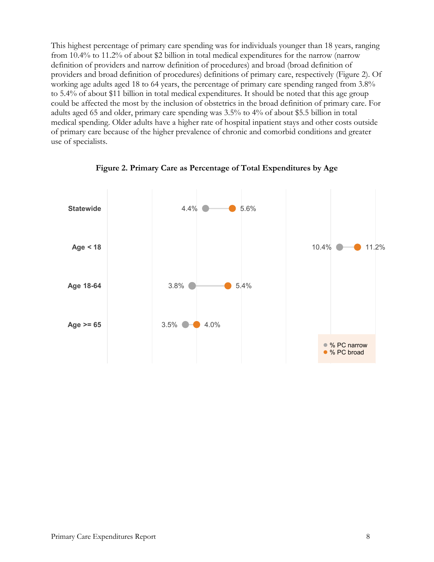This highest percentage of primary care spending was for individuals younger than 18 years, ranging from 10.4% to 11.2% of about \$2 billion in total medical expenditures for the narrow (narrow definition of providers and narrow definition of procedures) and broad (broad definition of providers and broad definition of procedures) definitions of primary care, respectively (Figure 2). Of working age adults aged 18 to 64 years, the percentage of primary care spending ranged from 3.8% to 5.4% of about \$11 billion in total medical expenditures. It should be noted that this age group could be affected the most by the inclusion of obstetrics in the broad definition of primary care. For adults aged 65 and older, primary care spending was 3.5% to 4% of about \$5.5 billion in total medical spending. Older adults have a higher rate of hospital inpatient stays and other costs outside of primary care because of the higher prevalence of chronic and comorbid conditions and greater use of specialists.



**Figure 2. Primary Care as Percentage of Total Expenditures by Age**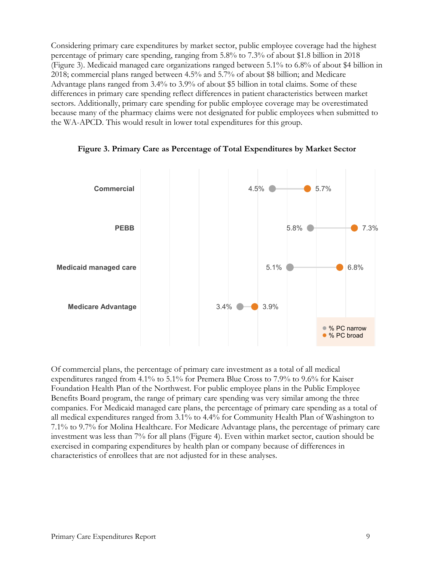Considering primary care expenditures by market sector, public employee coverage had the highest percentage of primary care spending, ranging from 5.8% to 7.3% of about \$1.8 billion in 2018 (Figure 3). Medicaid managed care organizations ranged between 5.1% to 6.8% of about \$4 billion in 2018; commercial plans ranged between 4.5% and 5.7% of about \$8 billion; and Medicare Advantage plans ranged from 3.4% to 3.9% of about \$5 billion in total claims. Some of these differences in primary care spending reflect differences in patient characteristics between market sectors. Additionally, primary care spending for public employee coverage may be overestimated because many of the pharmacy claims were not designated for public employees when submitted to the WA-APCD. This would result in lower total expenditures for this group.



**Figure 3. Primary Care as Percentage of Total Expenditures by Market Sector**

Of commercial plans, the percentage of primary care investment as a total of all medical expenditures ranged from 4.1% to 5.1% for Premera Blue Cross to 7.9% to 9.6% for Kaiser Foundation Health Plan of the Northwest. For public employee plans in the Public Employee Benefits Board program, the range of primary care spending was very similar among the three companies. For Medicaid managed care plans, the percentage of primary care spending as a total of all medical expenditures ranged from 3.1% to 4.4% for Community Health Plan of Washington to 7.1% to 9.7% for Molina Healthcare. For Medicare Advantage plans, the percentage of primary care investment was less than 7% for all plans (Figure 4). Even within market sector, caution should be exercised in comparing expenditures by health plan or company because of differences in characteristics of enrollees that are not adjusted for in these analyses.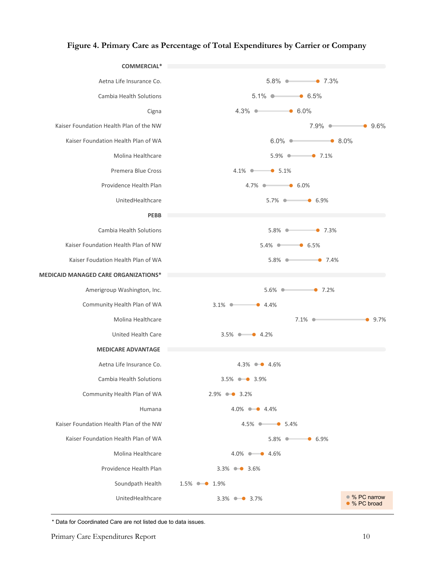#### **Figure 4. Primary Care as Percentage of Total Expenditures by Carrier or Company**



\* Data for Coordinated Care are not listed due to data issues.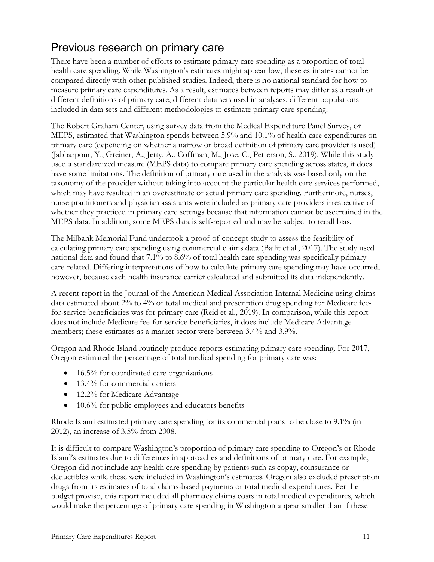# <span id="page-12-0"></span>Previous research on primary care

There have been a number of efforts to estimate primary care spending as a proportion of total health care spending. While Washington's estimates might appear low, these estimates cannot be compared directly with other published studies. Indeed, there is no national standard for how to measure primary care expenditures. As a result, estimates between reports may differ as a result of different definitions of primary care, different data sets used in analyses, different populations included in data sets and different methodologies to estimate primary care spending.

The Robert Graham Center, using survey data from the Medical Expenditure Panel Survey, or MEPS, estimated that Washington spends between 5.9% and 10.1% of health care expenditures on primary care (depending on whether a narrow or broad definition of primary care provider is used) (Jabbarpour, Y., Greiner, A., Jetty, A., Coffman, M., Jose, C., Petterson, S., 2019). While this study used a standardized measure (MEPS data) to compare primary care spending across states, it does have some limitations. The definition of primary care used in the analysis was based only on the taxonomy of the provider without taking into account the particular health care services performed, which may have resulted in an overestimate of actual primary care spending. Furthermore, nurses, nurse practitioners and physician assistants were included as primary care providers irrespective of whether they practiced in primary care settings because that information cannot be ascertained in the MEPS data. In addition, some MEPS data is self-reported and may be subject to recall bias.

The Milbank Memorial Fund undertook a proof-of-concept study to assess the feasibility of calculating primary care spending using commercial claims data (Bailit et al., 2017). The study used national data and found that 7.1% to 8.6% of total health care spending was specifically primary care-related. Differing interpretations of how to calculate primary care spending may have occurred, however, because each health insurance carrier calculated and submitted its data independently.

A recent report in the Journal of the American Medical Association Internal Medicine using claims data estimated about 2% to 4% of total medical and prescription drug spending for Medicare feefor-service beneficiaries was for primary care (Reid et al., 2019). In comparison, while this report does not include Medicare fee-for-service beneficiaries, it does include Medicare Advantage members; these estimates as a market sector were between 3.4% and 3.9%.

Oregon and Rhode Island routinely produce reports estimating primary care spending. For 2017, Oregon estimated the percentage of total medical spending for primary care was:

- 16.5% for coordinated care organizations
- 13.4% for commercial carriers
- 12.2% for Medicare Advantage
- 10.6% for public employees and educators benefits

Rhode Island estimated primary care spending for its commercial plans to be close to 9.1% (in 2012), an increase of 3.5% from 2008.

It is difficult to compare Washington's proportion of primary care spending to Oregon's or Rhode Island's estimates due to differences in approaches and definitions of primary care. For example, Oregon did not include any health care spending by patients such as copay, coinsurance or deductibles while these were included in Washington's estimates. Oregon also excluded prescription drugs from its estimates of total claims-based payments or total medical expenditures. Per the budget proviso, this report included all pharmacy claims costs in total medical expenditures, which would make the percentage of primary care spending in Washington appear smaller than if these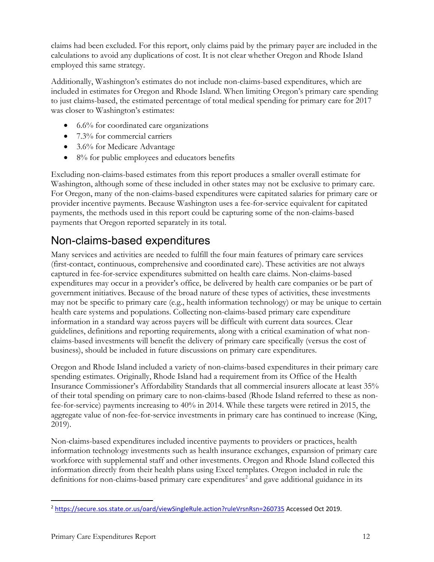claims had been excluded. For this report, only claims paid by the primary payer are included in the calculations to avoid any duplications of cost. It is not clear whether Oregon and Rhode Island employed this same strategy.

Additionally, Washington's estimates do not include non-claims-based expenditures, which are included in estimates for Oregon and Rhode Island. When limiting Oregon's primary care spending to just claims-based, the estimated percentage of total medical spending for primary care for 2017 was closer to Washington's estimates:

- 6.6% for coordinated care organizations
- 7.3% for commercial carriers
- 3.6% for Medicare Advantage
- 8% for public employees and educators benefits

Excluding non-claims-based estimates from this report produces a smaller overall estimate for Washington, although some of these included in other states may not be exclusive to primary care. For Oregon, many of the non-claims-based expenditures were capitated salaries for primary care or provider incentive payments. Because Washington uses a fee-for-service equivalent for capitated payments, the methods used in this report could be capturing some of the non-claims-based payments that Oregon reported separately in its total.

# <span id="page-13-0"></span>Non-claims-based expenditures

Many services and activities are needed to fulfill the four main features of primary care services (first-contact, continuous, comprehensive and coordinated care). These activities are not always captured in fee-for-service expenditures submitted on health care claims. Non-claims-based expenditures may occur in a provider's office, be delivered by health care companies or be part of government initiatives. Because of the broad nature of these types of activities, these investments may not be specific to primary care (e.g., health information technology) or may be unique to certain health care systems and populations. Collecting non-claims-based primary care expenditure information in a standard way across payers will be difficult with current data sources. Clear guidelines, definitions and reporting requirements, along with a critical examination of what nonclaims-based investments will benefit the delivery of primary care specifically (versus the cost of business), should be included in future discussions on primary care expenditures.

Oregon and Rhode Island included a variety of non-claims-based expenditures in their primary care spending estimates. Originally, Rhode Island had a requirement from its Office of the Health Insurance Commissioner's Affordability Standards that all commercial insurers allocate at least 35% of their total spending on primary care to non-claims-based (Rhode Island referred to these as nonfee-for-service) payments increasing to 40% in 2014. While these targets were retired in 2015, the aggregate value of non-fee-for-service investments in primary care has continued to increase (King, 2019).

Non-claims-based expenditures included incentive payments to providers or practices, health information technology investments such as health insurance exchanges, expansion of primary care workforce with supplemental staff and other investments. Oregon and Rhode Island collected this information directly from their health plans using Excel templates. Oregon included in rule the definitions for non-claims-based primary care expenditures<sup>[2](#page-13-1)</sup> and gave additional guidance in its

<span id="page-13-1"></span> <sup>2</sup> <https://secure.sos.state.or.us/oard/viewSingleRule.action?ruleVrsnRsn=260735> Accessed Oct 2019.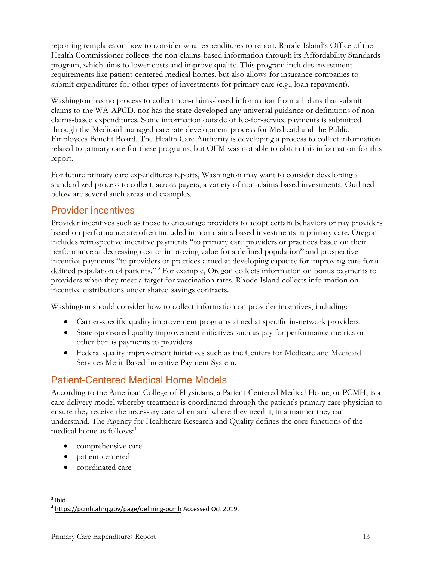reporting templates on how to consider what expenditures to report. Rhode Island's Office of the Health Commissioner collects the non-claims-based information through its Affordability Standards program, which aims to lower costs and improve quality. This program includes investment requirements like patient-centered medical homes, but also allows for insurance companies to submit expenditures for other types of investments for primary care (e.g., loan repayment).

Washington has no process to collect non-claims-based information from all plans that submit claims to the WA-APCD, nor has the state developed any universal guidance or definitions of nonclaims-based expenditures. Some information outside of fee-for-service payments is submitted through the Medicaid managed care rate development process for Medicaid and the Public Employees Benefit Board. The Health Care Authority is developing a process to collect information related to primary care for these programs, but OFM was not able to obtain this information for this report.

For future primary care expenditures reports, Washington may want to consider developing a standardized process to collect, across payers, a variety of non-claims-based investments. Outlined below are several such areas and examples.

#### Provider incentives

Provider incentives such as those to encourage providers to adopt certain behaviors or pay providers based on performance are often included in non-claims-based investments in primary care. Oregon includes retrospective incentive payments "to primary care providers or practices based on their performance at decreasing cost or improving value for a defined population" and prospective incentive payments "to providers or practices aimed at developing capacity for improving care for a defined population of patients." [3](#page-14-0) For example, Oregon collects information on bonus payments to providers when they meet a target for vaccination rates. Rhode Island collects information on incentive distributions under shared savings contracts.

Washington should consider how to collect information on provider incentives, including:

- Carrier-specific quality improvement programs aimed at specific in-network providers.
- State-sponsored quality improvement initiatives such as pay for performance metrics or other bonus payments to providers.
- Federal quality improvement initiatives such as the Centers for Medicare and Medicaid Services Merit-Based Incentive Payment System.

## Patient-Centered Medical Home Models

According to the American College of Physicians, a Patient-Centered Medical Home, or PCMH, is a care delivery model whereby treatment is coordinated through the patient's primary care physician to ensure they receive the necessary care when and where they need it, in a manner they can understand. The Agency for Healthcare Research and Quality defines the core functions of the medical home as follows: [4](#page-14-1)

- comprehensive care
- patient-centered
- coordinated care

<span id="page-14-0"></span> $3$  Ibid.

<span id="page-14-1"></span><sup>4</sup> <https://pcmh.ahrq.gov/page/defining-pcmh> Accessed Oct 2019.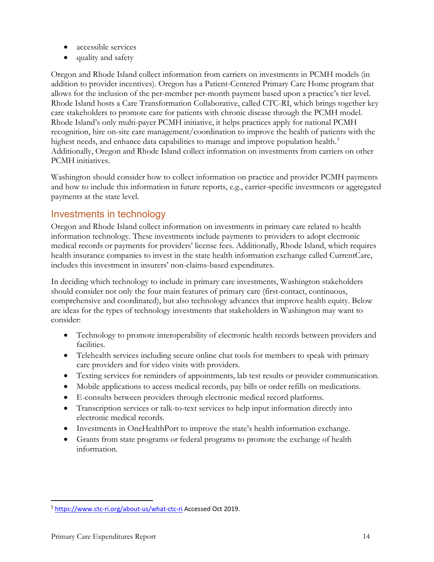- accessible services
- quality and safety

Oregon and Rhode Island collect information from carriers on investments in PCMH models (in addition to provider incentives). Oregon has a Patient-Centered Primary Care Home program that allows for the inclusion of the per-member per-month payment based upon a practice's tier level. Rhode Island hosts a Care Transformation Collaborative, called CTC-RI, which brings together key care stakeholders to promote care for patients with chronic disease through the PCMH model. Rhode Island's only multi-payer PCMH initiative, it helps practices apply for national PCMH recognition, hire on-site care management/coordination to improve the health of patients with the highest needs, and enhance data capabilities to manage and improve population health. [5](#page-15-0) Additionally, Oregon and Rhode Island collect information on investments from carriers on other PCMH initiatives.

Washington should consider how to collect information on practice and provider PCMH payments and how to include this information in future reports, e.g., carrier-specific investments or aggregated payments at the state level.

#### Investments in technology

Oregon and Rhode Island collect information on investments in primary care related to health information technology. These investments include payments to providers to adopt electronic medical records or payments for providers' license fees. Additionally, Rhode Island, which requires health insurance companies to invest in the state health information exchange called CurrentCare, includes this investment in insurers' non-claims-based expenditures.

In deciding which technology to include in primary care investments, Washington stakeholders should consider not only the four main features of primary care (first-contact, continuous, comprehensive and coordinated), but also technology advances that improve health equity. Below are ideas for the types of technology investments that stakeholders in Washington may want to consider:

- Technology to promote interoperability of electronic health records between providers and facilities.
- Telehealth services including secure online chat tools for members to speak with primary care providers and for video visits with providers.
- Texting services for reminders of appointments, lab test results or provider communication.
- Mobile applications to access medical records, pay bills or order refills on medications.
- E-consults between providers through electronic medical record platforms.
- Transcription services or talk-to-text services to help input information directly into electronic medical records.
- Investments in OneHealthPort to improve the state's health information exchange.
- Grants from state programs or federal programs to promote the exchange of health information.

<span id="page-15-0"></span><sup>&</sup>lt;sup>5</sup> <https://www.ctc-ri.org/about-us/what-ctc-ri> Accessed Oct 2019.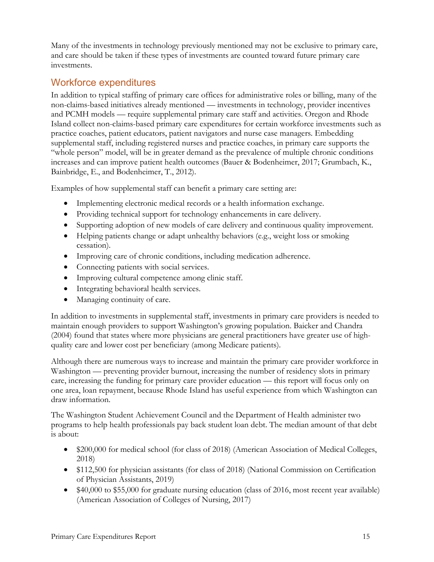Many of the investments in technology previously mentioned may not be exclusive to primary care, and care should be taken if these types of investments are counted toward future primary care investments.

#### Workforce expenditures

In addition to typical staffing of primary care offices for administrative roles or billing, many of the non-claims-based initiatives already mentioned — investments in technology, provider incentives and PCMH models — require supplemental primary care staff and activities. Oregon and Rhode Island collect non-claims-based primary care expenditures for certain workforce investments such as practice coaches, patient educators, patient navigators and nurse case managers. Embedding supplemental staff, including registered nurses and practice coaches, in primary care supports the "whole person" model, will be in greater demand as the prevalence of multiple chronic conditions increases and can improve patient health outcomes (Bauer & Bodenheimer, 2017; Grumbach, K., Bainbridge, E., and Bodenheimer, T., 2012).

Examples of how supplemental staff can benefit a primary care setting are:

- Implementing electronic medical records or a health information exchange.
- Providing technical support for technology enhancements in care delivery.
- Supporting adoption of new models of care delivery and continuous quality improvement.
- Helping patients change or adapt unhealthy behaviors (e.g., weight loss or smoking cessation).
- Improving care of chronic conditions, including medication adherence.
- Connecting patients with social services.
- Improving cultural competence among clinic staff.
- Integrating behavioral health services.
- Managing continuity of care.

In addition to investments in supplemental staff, investments in primary care providers is needed to maintain enough providers to support Washington's growing population. Baicker and Chandra (2004) found that states where more physicians are general practitioners have greater use of highquality care and lower cost per beneficiary (among Medicare patients).

Although there are numerous ways to increase and maintain the primary care provider workforce in Washington — preventing provider burnout, increasing the number of residency slots in primary care, increasing the funding for primary care provider education — this report will focus only on one area, loan repayment, because Rhode Island has useful experience from which Washington can draw information.

The Washington Student Achievement Council and the Department of Health administer two programs to help health professionals pay back student loan debt. The median amount of that debt is about:

- \$200,000 for medical school (for class of 2018) (American Association of Medical Colleges, 2018)
- \$112,500 for physician assistants (for class of 2018) (National Commission on Certification of Physician Assistants, 2019)
- \$40,000 to \$55,000 for graduate nursing education (class of 2016, most recent year available) (American Association of Colleges of Nursing, 2017)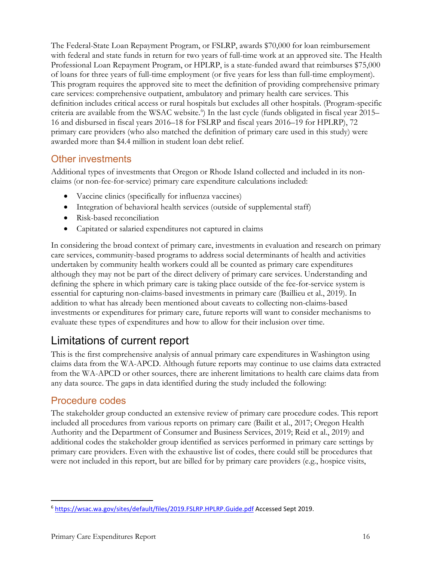The Federal-State Loan Repayment Program, or FSLRP, awards \$70,000 for loan reimbursement with federal and state funds in return for two years of full-time work at an approved site. The Health Professional Loan Repayment Program, or HPLRP, is a state-funded award that reimburses \$75,000 of loans for three years of full-time employment (or five years for less than full-time employment). This program requires the approved site to meet the definition of providing comprehensive primary care services: comprehensive outpatient, ambulatory and primary health care services. This definition includes critical access or rural hospitals but excludes all other hospitals. (Program-specific criteria are available from the WSAC website.<sup>[6](#page-17-1)</sup>) In the last cycle (funds obligated in fiscal year 2015– 16 and disbursed in fiscal years 2016–18 for FSLRP and fiscal years 2016–19 for HPLRP), 72 primary care providers (who also matched the definition of primary care used in this study) were awarded more than \$4.4 million in student loan debt relief.

## Other investments

Additional types of investments that Oregon or Rhode Island collected and included in its nonclaims (or non-fee-for-service) primary care expenditure calculations included:

- Vaccine clinics (specifically for influenza vaccines)
- Integration of behavioral health services (outside of supplemental staff)
- Risk-based reconciliation
- Capitated or salaried expenditures not captured in claims

In considering the broad context of primary care, investments in evaluation and research on primary care services, community-based programs to address social determinants of health and activities undertaken by community health workers could all be counted as primary care expenditures although they may not be part of the direct delivery of primary care services. Understanding and defining the sphere in which primary care is taking place outside of the fee-for-service system is essential for capturing non-claims-based investments in primary care (Baillieu et al., 2019). In addition to what has already been mentioned about caveats to collecting non-claims-based investments or expenditures for primary care, future reports will want to consider mechanisms to evaluate these types of expenditures and how to allow for their inclusion over time.

# <span id="page-17-0"></span>Limitations of current report

This is the first comprehensive analysis of annual primary care expenditures in Washington using claims data from the WA-APCD. Although future reports may continue to use claims data extracted from the WA-APCD or other sources, there are inherent limitations to health care claims data from any data source. The gaps in data identified during the study included the following:

#### Procedure codes

The stakeholder group conducted an extensive review of primary care procedure codes. This report included all procedures from various reports on primary care (Bailit et al., 2017; Oregon Health Authority and the Department of Consumer and Business Services, 2019; Reid et al., 2019) and additional codes the stakeholder group identified as services performed in primary care settings by primary care providers. Even with the exhaustive list of codes, there could still be procedures that were not included in this report, but are billed for by primary care providers (e.g., hospice visits,

<span id="page-17-1"></span><sup>&</sup>lt;sup>6</sup> <https://wsac.wa.gov/sites/default/files/2019.FSLRP.HPLRP.Guide.pdf> Accessed Sept 2019.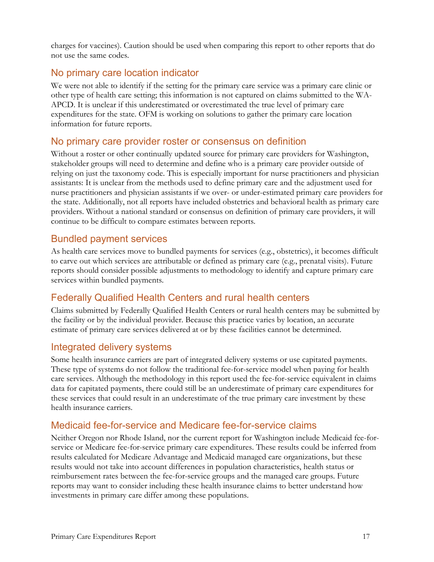charges for vaccines). Caution should be used when comparing this report to other reports that do not use the same codes.

## No primary care location indicator

We were not able to identify if the setting for the primary care service was a primary care clinic or other type of health care setting; this information is not captured on claims submitted to the WA-APCD. It is unclear if this underestimated or overestimated the true level of primary care expenditures for the state. OFM is working on solutions to gather the primary care location information for future reports.

#### No primary care provider roster or consensus on definition

Without a roster or other continually updated source for primary care providers for Washington, stakeholder groups will need to determine and define who is a primary care provider outside of relying on just the taxonomy code. This is especially important for nurse practitioners and physician assistants: It is unclear from the methods used to define primary care and the adjustment used for nurse practitioners and physician assistants if we over- or under-estimated primary care providers for the state. Additionally, not all reports have included obstetrics and behavioral health as primary care providers. Without a national standard or consensus on definition of primary care providers, it will continue to be difficult to compare estimates between reports.

#### Bundled payment services

As health care services move to bundled payments for services (e.g., obstetrics), it becomes difficult to carve out which services are attributable or defined as primary care (e.g., prenatal visits). Future reports should consider possible adjustments to methodology to identify and capture primary care services within bundled payments.

## Federally Qualified Health Centers and rural health centers

Claims submitted by Federally Qualified Health Centers or rural health centers may be submitted by the facility or by the individual provider. Because this practice varies by location, an accurate estimate of primary care services delivered at or by these facilities cannot be determined.

## Integrated delivery systems

Some health insurance carriers are part of integrated delivery systems or use capitated payments. These type of systems do not follow the traditional fee-for-service model when paying for health care services. Although the methodology in this report used the fee-for-service equivalent in claims data for capitated payments, there could still be an underestimate of primary care expenditures for these services that could result in an underestimate of the true primary care investment by these health insurance carriers.

## Medicaid fee-for-service and Medicare fee-for-service claims

Neither Oregon nor Rhode Island, nor the current report for Washington include Medicaid fee-forservice or Medicare fee-for-service primary care expenditures. These results could be inferred from results calculated for Medicare Advantage and Medicaid managed care organizations, but these results would not take into account differences in population characteristics, health status or reimbursement rates between the fee-for-service groups and the managed care groups. Future reports may want to consider including these health insurance claims to better understand how investments in primary care differ among these populations.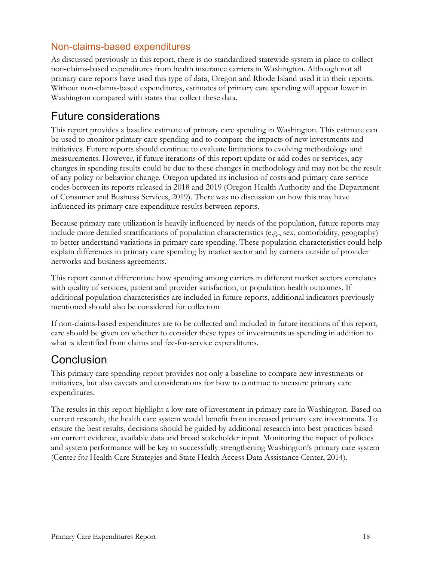## Non-claims-based expenditures

As discussed previously in this report, there is no standardized statewide system in place to collect non-claims-based expenditures from health insurance carriers in Washington. Although not all primary care reports have used this type of data, Oregon and Rhode Island used it in their reports. Without non-claims-based expenditures, estimates of primary care spending will appear lower in Washington compared with states that collect these data.

## <span id="page-19-0"></span>Future considerations

This report provides a baseline estimate of primary care spending in Washington. This estimate can be used to monitor primary care spending and to compare the impacts of new investments and initiatives. Future reports should continue to evaluate limitations to evolving methodology and measurements. However, if future iterations of this report update or add codes or services, any changes in spending results could be due to these changes in methodology and may not be the result of any policy or behavior change. Oregon updated its inclusion of costs and primary care service codes between its reports released in 2018 and 2019 (Oregon Health Authority and the Department of Consumer and Business Services, 2019). There was no discussion on how this may have influenced its primary care expenditure results between reports.

Because primary care utilization is heavily influenced by needs of the population, future reports may include more detailed stratifications of population characteristics (e.g., sex, comorbidity, geography) to better understand variations in primary care spending. These population characteristics could help explain differences in primary care spending by market sector and by carriers outside of provider networks and business agreements.

This report cannot differentiate how spending among carriers in different market sectors correlates with quality of services, patient and provider satisfaction, or population health outcomes. If additional population characteristics are included in future reports, additional indicators previously mentioned should also be considered for collection

If non-claims-based expenditures are to be collected and included in future iterations of this report, care should be given on whether to consider these types of investments as spending in addition to what is identified from claims and fee-for-service expenditures.

# <span id="page-19-1"></span>Conclusion

This primary care spending report provides not only a baseline to compare new investments or initiatives, but also caveats and considerations for how to continue to measure primary care expenditures.

The results in this report highlight a low rate of investment in primary care in Washington. Based on current research, the health care system would benefit from increased primary care investments. To ensure the best results, decisions should be guided by additional research into best practices based on current evidence, available data and broad stakeholder input. Monitoring the impact of policies and system performance will be key to successfully strengthening Washington's primary care system (Center for Health Care Strategies and State Health Access Data Assistance Center, 2014).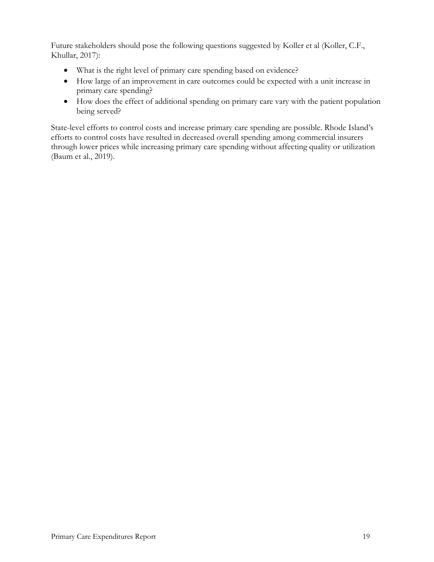Future stakeholders should pose the following questions suggested by Koller et al (Koller, C.F., Khullar, 2017):

- What is the right level of primary care spending based on evidence?
- How large of an improvement in care outcomes could be expected with a unit increase in primary care spending?
- How does the effect of additional spending on primary care vary with the patient population being served?

State-level efforts to control costs and increase primary care spending are possible. Rhode Island's efforts to control costs have resulted in decreased overall spending among commercial insurers through lower prices while increasing primary care spending without affecting quality or utilization (Baum et al., 2019).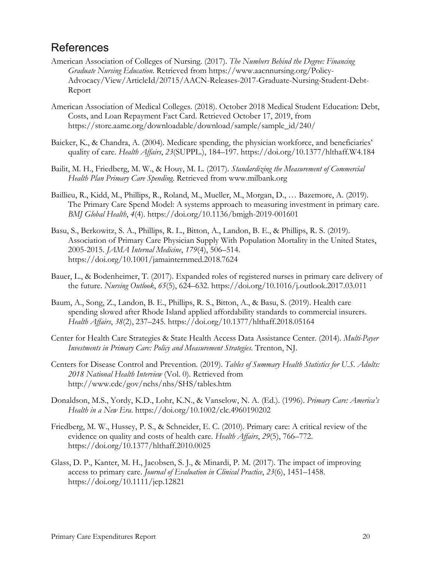## <span id="page-21-0"></span>**References**

- American Association of Colleges of Nursing. (2017). *The Numbers Behind the Degree: Financing Graduate Nursing Education*. Retrieved from https://www.aacnnursing.org/Policy-Advocacy/View/ArticleId/20715/AACN-Releases-2017-Graduate-Nursing-Student-Debt-Report
- American Association of Medical Colleges. (2018). October 2018 Medical Student Education: Debt, Costs, and Loan Repayment Fact Card. Retrieved October 17, 2019, from https://store.aamc.org/downloadable/download/sample/sample\_id/240/
- Baicker, K., & Chandra, A. (2004). Medicare spending, the physician workforce, and beneficiaries' quality of care. *Health Affairs*, *23*(SUPPL.), 184–197. https://doi.org/10.1377/hlthaff.W4.184
- Bailit, M. H., Friedberg, M. W., & Houy, M. L. (2017). *Standardizing the Measurement of Commercial Health Plan Primary Care Spending*. Retrieved from www.milbank.org
- Baillieu, R., Kidd, M., Phillips, R., Roland, M., Mueller, M., Morgan, D., … Bazemore, A. (2019). The Primary Care Spend Model: A systems approach to measuring investment in primary care. *BMJ Global Health*, *4*(4). https://doi.org/10.1136/bmjgh-2019-001601
- Basu, S., Berkowitz, S. A., Phillips, R. L., Bitton, A., Landon, B. E., & Phillips, R. S. (2019). Association of Primary Care Physician Supply With Population Mortality in the United States, 2005-2015. *JAMA Internal Medicine*, *179*(4), 506–514. https://doi.org/10.1001/jamainternmed.2018.7624
- Bauer, L., & Bodenheimer, T. (2017). Expanded roles of registered nurses in primary care delivery of the future. *Nursing Outlook*, *65*(5), 624–632. https://doi.org/10.1016/j.outlook.2017.03.011
- Baum, A., Song, Z., Landon, B. E., Phillips, R. S., Bitton, A., & Basu, S. (2019). Health care spending slowed after Rhode Island applied affordability standards to commercial insurers. *Health Affairs*, *38*(2), 237–245. https://doi.org/10.1377/hlthaff.2018.05164
- Center for Health Care Strategies & State Health Access Data Assistance Center. (2014). *Multi-Payer Investments in Primary Care: Policy and Measurement Strategies*. Trenton, NJ.
- Centers for Disease Control and Prevention. (2019). *Tables of Summary Health Statistics for U.S. Adults: 2018 National Health Interview* (Vol. 0). Retrieved from http://www.cdc/gov/nchs/nhs/SHS/tables.htm
- Donaldson, M.S., Yordy, K.D., Lohr, K.N., & Vanselow, N. A. (Ed.). (1996). *Primary Care: America's Health in a New Era*. https://doi.org/10.1002/clc.4960190202
- Friedberg, M. W., Hussey, P. S., & Schneider, E. C. (2010). Primary care: A critical review of the evidence on quality and costs of health care. *Health Affairs*, *29*(5), 766–772. https://doi.org/10.1377/hlthaff.2010.0025
- Glass, D. P., Kanter, M. H., Jacobsen, S. J., & Minardi, P. M. (2017). The impact of improving access to primary care. *Journal of Evaluation in Clinical Practice*, *23*(6), 1451–1458. https://doi.org/10.1111/jep.12821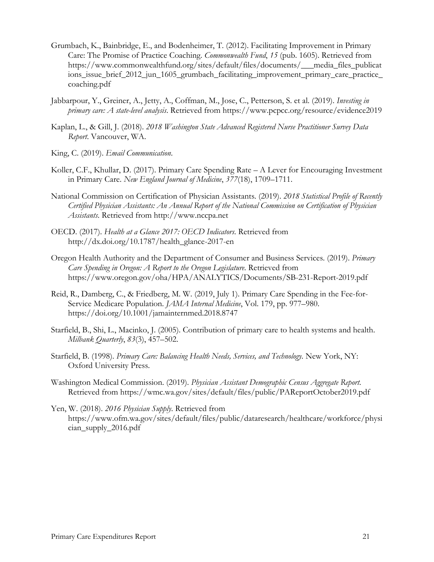- Grumbach, K., Bainbridge, E., and Bodenheimer, T. (2012). Facilitating Improvement in Primary Care: The Promise of Practice Coaching. *Commonwealth Fund*, *15* (pub. 1605). Retrieved from https://www.commonwealthfund.org/sites/default/files/documents/\_\_\_media\_files\_publicat ions\_issue\_brief\_2012\_jun\_1605\_grumbach\_facilitating\_improvement\_primary\_care\_practice\_ coaching.pdf
- Jabbarpour, Y., Greiner, A., Jetty, A., Coffman, M., Jose, C., Petterson, S. et al. (2019). *Investing in primary care: A state-level analysis*. Retrieved from https://www.pcpcc.org/resource/evidence2019
- Kaplan, L., & Gill, J. (2018). *2018 Washington State Advanced Registered Nurse Practitioner Survey Data Report*. Vancouver, WA.
- King, C. (2019). *Email Communication*.
- Koller, C.F., Khullar, D. (2017). Primary Care Spending Rate A Lever for Encouraging Investment in Primary Care. *New England Journal of Medicine*, *377*(18), 1709–1711.
- National Commission on Certification of Physician Assistants. (2019). *2018 Statistical Profile of Recently Certified Physician Assistants: An Annual Report of the National Commission on Certification of Physician Assistants*. Retrieved from http://www.nccpa.net
- OECD. (2017). *Health at a Glance 2017: OECD Indicators*. Retrieved from http://dx.doi.org/10.1787/health\_glance-2017-en
- Oregon Health Authority and the Department of Consumer and Business Services. (2019). *Primary Care Spending in Oregon: A Report to the Oregon Legislature*. Retrieved from https://www.oregon.gov/oha/HPA/ANALYTICS/Documents/SB-231-Report-2019.pdf
- Reid, R., Damberg, C., & Friedberg, M. W. (2019, July 1). Primary Care Spending in the Fee-for-Service Medicare Population. *JAMA Internal Medicine*, Vol. 179, pp. 977–980. https://doi.org/10.1001/jamainternmed.2018.8747
- Starfield, B., Shi, L., Macinko, J. (2005). Contribution of primary care to health systems and health. *Milbank Quarterly*, *83*(3), 457–502.
- Starfield, B. (1998). *Primary Care: Balancing Health Needs, Services, and Technology*. New York, NY: Oxford University Press.
- Washington Medical Commission. (2019). *Physician Assistant Demographic Census Aggregate Report*. Retrieved from https://wmc.wa.gov/sites/default/files/public/PAReportOctober2019.pdf
- Yen, W. (2018). *2016 Physician Supply*. Retrieved from https://www.ofm.wa.gov/sites/default/files/public/dataresearch/healthcare/workforce/physi cian\_supply\_2016.pdf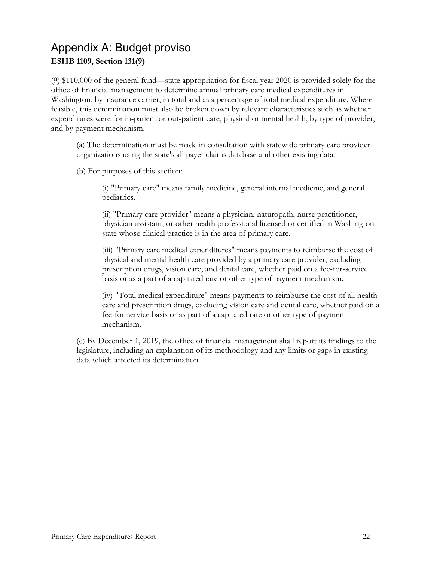# <span id="page-23-0"></span>Appendix A: Budget proviso **ESHB 1109, Section 131(9)**

(9) \$110,000 of the general fund—state appropriation for fiscal year 2020 is provided solely for the office of financial management to determine annual primary care medical expenditures in Washington, by insurance carrier, in total and as a percentage of total medical expenditure. Where feasible, this determination must also be broken down by relevant characteristics such as whether expenditures were for in-patient or out-patient care, physical or mental health, by type of provider, and by payment mechanism.

(a) The determination must be made in consultation with statewide primary care provider organizations using the state's all payer claims database and other existing data.

(b) For purposes of this section:

(i) "Primary care" means family medicine, general internal medicine, and general pediatrics.

(ii) "Primary care provider" means a physician, naturopath, nurse practitioner, physician assistant, or other health professional licensed or certified in Washington state whose clinical practice is in the area of primary care.

(iii) "Primary care medical expenditures" means payments to reimburse the cost of physical and mental health care provided by a primary care provider, excluding prescription drugs, vision care, and dental care, whether paid on a fee-for-service basis or as a part of a capitated rate or other type of payment mechanism.

(iv) "Total medical expenditure" means payments to reimburse the cost of all health care and prescription drugs, excluding vision care and dental care, whether paid on a fee-for-service basis or as part of a capitated rate or other type of payment mechanism.

(c) By December 1, 2019, the office of financial management shall report its findings to the legislature, including an explanation of its methodology and any limits or gaps in existing data which affected its determination.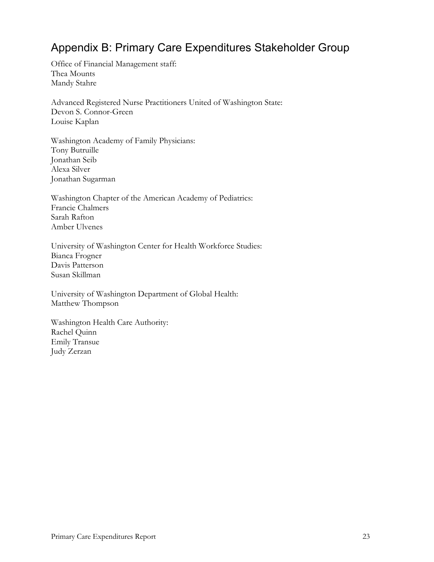# <span id="page-24-0"></span>Appendix B: Primary Care Expenditures Stakeholder Group

Office of Financial Management staff: Thea Mounts Mandy Stahre

Advanced Registered Nurse Practitioners United of Washington State: Devon S. Connor-Green Louise Kaplan

Washington Academy of Family Physicians: Tony Butruille Jonathan Seib Alexa Silver Jonathan Sugarman

Washington Chapter of the American Academy of Pediatrics: Francie Chalmers Sarah Rafton Amber Ulvenes

University of Washington Center for Health Workforce Studies: Bianca Frogner Davis Patterson Susan Skillman

University of Washington Department of Global Health: Matthew Thompson

Washington Health Care Authority: Rachel Quinn Emily Transue Judy Zerzan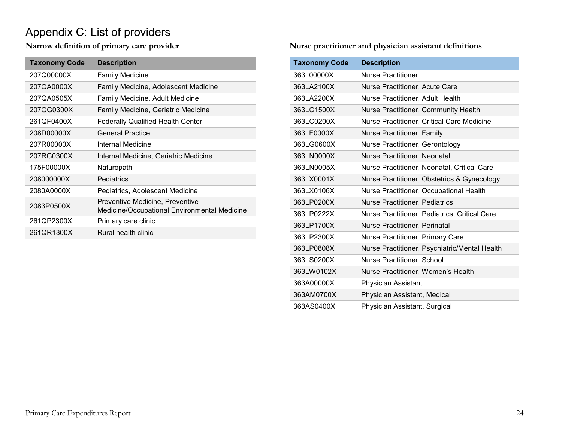# Appendix C: List of providers

**Narrow definition of primary care provider**

<span id="page-25-0"></span>

| <b>Taxonomy Code</b> | <b>Description</b>                                                              |
|----------------------|---------------------------------------------------------------------------------|
| 207Q00000X           | <b>Family Medicine</b>                                                          |
| 207QA0000X           | <b>Family Medicine, Adolescent Medicine</b>                                     |
| 207QA0505X           | Family Medicine, Adult Medicine                                                 |
| 207QG0300X           | Family Medicine, Geriatric Medicine                                             |
| 261QF0400X           | <b>Federally Qualified Health Center</b>                                        |
| 208D00000X           | <b>General Practice</b>                                                         |
| 207R00000X           | Internal Medicine                                                               |
| 207RG0300X           | Internal Medicine, Geriatric Medicine                                           |
| 175F00000X           | Naturopath                                                                      |
| 208000000X           | Pediatrics                                                                      |
| 2080A0000X           | Pediatrics, Adolescent Medicine                                                 |
| 2083P0500X           | Preventive Medicine, Preventive<br>Medicine/Occupational Environmental Medicine |
| 261QP2300X           | Primary care clinic                                                             |
| 261QR1300X           | Rural health clinic                                                             |

**Nurse practitioner and physician assistant definitions**

| <b>Taxonomy Code</b> | <b>Description</b>                            |
|----------------------|-----------------------------------------------|
| 363L00000X           | <b>Nurse Practitioner</b>                     |
| 363LA2100X           | Nurse Practitioner, Acute Care                |
| 363LA2200X           | Nurse Practitioner, Adult Health              |
| 363LC1500X           | Nurse Practitioner, Community Health          |
| 363LC0200X           | Nurse Practitioner, Critical Care Medicine    |
| 363LF0000X           | Nurse Practitioner, Family                    |
| 363LG0600X           | Nurse Practitioner, Gerontology               |
| 363LN0000X           | Nurse Practitioner, Neonatal                  |
| 363LN0005X           | Nurse Practitioner, Neonatal, Critical Care   |
| 363LX0001X           | Nurse Practitioner, Obstetrics & Gynecology   |
| 363LX0106X           | Nurse Practitioner, Occupational Health       |
| 363LP0200X           | Nurse Practitioner, Pediatrics                |
| 363LP0222X           | Nurse Practitioner, Pediatrics, Critical Care |
| 363LP1700X           | Nurse Practitioner, Perinatal                 |
| 363LP2300X           | Nurse Practitioner, Primary Care              |
| 363LP0808X           | Nurse Practitioner, Psychiatric/Mental Health |
| 363LS0200X           | Nurse Practitioner, School                    |
| 363LW0102X           | Nurse Practitioner, Women's Health            |
| 363A00000X           | Physician Assistant                           |
| 363AM0700X           | Physician Assistant, Medical                  |
| 363AS0400X           | Physician Assistant, Surgical                 |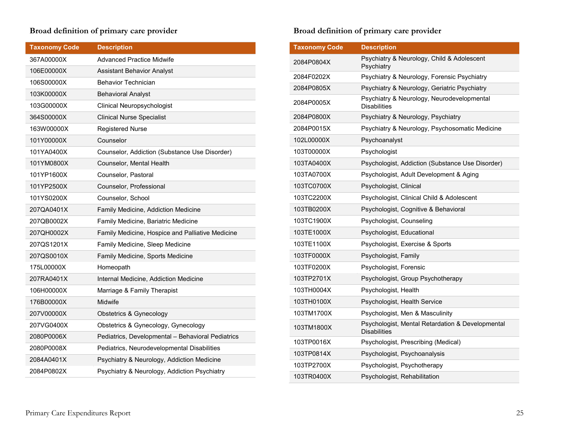#### **Broad definition of primary care provider**

| <b>Taxonomy Code</b> | <b>Description</b>                                |
|----------------------|---------------------------------------------------|
| 367A00000X           | <b>Advanced Practice Midwife</b>                  |
| 106E00000X           | <b>Assistant Behavior Analyst</b>                 |
| 106S00000X           | <b>Behavior Technician</b>                        |
| 103K00000X           | <b>Behavioral Analyst</b>                         |
| 103G00000X           | <b>Clinical Neuropsychologist</b>                 |
| 364S00000X           | <b>Clinical Nurse Specialist</b>                  |
| 163W00000X           | <b>Registered Nurse</b>                           |
| 101Y00000X           | Counselor                                         |
| 101YA0400X           | Counselor, Addiction (Substance Use Disorder)     |
| 101YM0800X           | Counselor, Mental Health                          |
| 101YP1600X           | Counselor, Pastoral                               |
| 101YP2500X           | Counselor, Professional                           |
| 101YS0200X           | Counselor, School                                 |
| 207QA0401X           | Family Medicine, Addiction Medicine               |
| 207QB0002X           | Family Medicine, Bariatric Medicine               |
| 207QH0002X           | Family Medicine, Hospice and Palliative Medicine  |
| 207QS1201X           | Family Medicine, Sleep Medicine                   |
| 207QS0010X           | Family Medicine, Sports Medicine                  |
| 175L00000X           | Homeopath                                         |
| 207RA0401X           | Internal Medicine, Addiction Medicine             |
| 106H00000X           | Marriage & Family Therapist                       |
| 176B00000X           | Midwife                                           |
| 207V00000X           | Obstetrics & Gynecology                           |
| 207VG0400X           | Obstetrics & Gynecology, Gynecology               |
| 2080P0006X           | Pediatrics, Developmental - Behavioral Pediatrics |
| 2080P0008X           | Pediatrics, Neurodevelopmental Disabilities       |
| 2084A0401X           | Psychiatry & Neurology, Addiction Medicine        |
| 2084P0802X           | Psychiatry & Neurology, Addiction Psychiatry      |

## **Broad definition of primary care provider**

| <b>Taxonomy Code</b> | <b>Description</b>                                                      |
|----------------------|-------------------------------------------------------------------------|
| 2084P0804X           | Psychiatry & Neurology, Child & Adolescent<br>Psychiatry                |
| 2084F0202X           | Psychiatry & Neurology, Forensic Psychiatry                             |
| 2084P0805X           | Psychiatry & Neurology, Geriatric Psychiatry                            |
| 2084P0005X           | Psychiatry & Neurology, Neurodevelopmental<br><b>Disabilities</b>       |
| 2084P0800X           | Psychiatry & Neurology, Psychiatry                                      |
| 2084P0015X           | Psychiatry & Neurology, Psychosomatic Medicine                          |
| 102L00000X           | Psychoanalyst                                                           |
| 103T00000X           | Psychologist                                                            |
| 103TA0400X           | Psychologist, Addiction (Substance Use Disorder)                        |
| 103TA0700X           | Psychologist, Adult Development & Aging                                 |
| 103TC0700X           | Psychologist, Clinical                                                  |
| 103TC2200X           | Psychologist, Clinical Child & Adolescent                               |
| 103TB0200X           | Psychologist, Cognitive & Behavioral                                    |
| 103TC1900X           | Psychologist, Counseling                                                |
| 103TE1000X           | Psychologist, Educational                                               |
| 103TE1100X           | Psychologist, Exercise & Sports                                         |
| 103TF0000X           | Psychologist, Family                                                    |
| 103TF0200X           | Psychologist, Forensic                                                  |
| 103TP2701X           | Psychologist, Group Psychotherapy                                       |
| 103TH0004X           | Psychologist, Health                                                    |
| 103TH0100X           | Psychologist, Health Service                                            |
| 103TM1700X           | Psychologist, Men & Masculinity                                         |
| 103TM1800X           | Psychologist, Mental Retardation & Developmental<br><b>Disabilities</b> |
| 103TP0016X           | Psychologist, Prescribing (Medical)                                     |
| 103TP0814X           | Psychologist, Psychoanalysis                                            |
| 103TP2700X           | Psychologist, Psychotherapy                                             |
| 103TR0400X           | Psychologist, Rehabilitation                                            |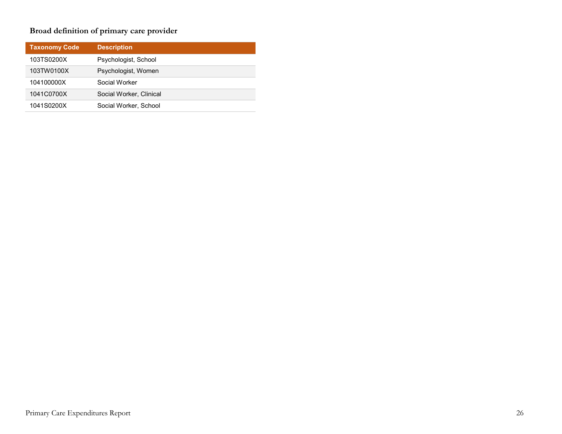## **Broad definition of primary care provider**

| <b>Taxonomy Code</b> | <b>Description</b>      |
|----------------------|-------------------------|
| 103TS0200X           | Psychologist, School    |
| 103TW0100X           | Psychologist, Women     |
| 104100000X           | Social Worker           |
| 1041C0700X           | Social Worker, Clinical |
| 1041S0200X           | Social Worker, School   |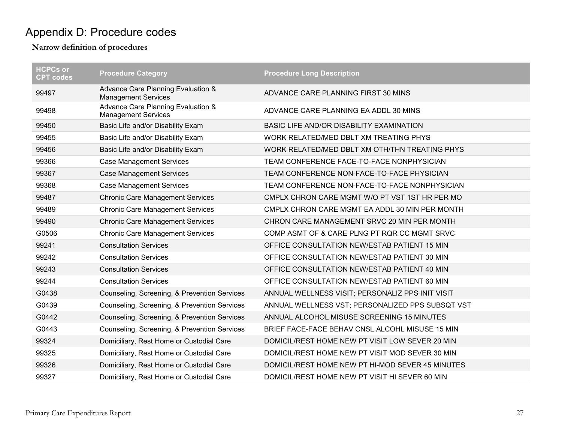# Appendix D: Procedure codes

<span id="page-28-0"></span>

| <b>HCPCs or</b><br><b>CPT codes</b> | <b>Procedure Category</b>                                        | <b>Procedure Long Description</b>                |
|-------------------------------------|------------------------------------------------------------------|--------------------------------------------------|
| 99497                               | Advance Care Planning Evaluation &<br><b>Management Services</b> | ADVANCE CARE PLANNING FIRST 30 MINS              |
| 99498                               | Advance Care Planning Evaluation &<br><b>Management Services</b> | ADVANCE CARE PLANNING EA ADDL 30 MINS            |
| 99450                               | Basic Life and/or Disability Exam                                | BASIC LIFE AND/OR DISABILITY EXAMINATION         |
| 99455                               | Basic Life and/or Disability Exam                                | WORK RELATED/MED DBLT XM TREATING PHYS           |
| 99456                               | Basic Life and/or Disability Exam                                | WORK RELATED/MED DBLT XM OTH/THN TREATING PHYS   |
| 99366                               | <b>Case Management Services</b>                                  | TEAM CONFERENCE FACE-TO-FACE NONPHYSICIAN        |
| 99367                               | <b>Case Management Services</b>                                  | TEAM CONFERENCE NON-FACE-TO-FACE PHYSICIAN       |
| 99368                               | <b>Case Management Services</b>                                  | TEAM CONFERENCE NON-FACE-TO-FACE NONPHYSICIAN    |
| 99487                               | <b>Chronic Care Management Services</b>                          | CMPLX CHRON CARE MGMT W/O PT VST 1ST HR PER MO   |
| 99489                               | <b>Chronic Care Management Services</b>                          | CMPLX CHRON CARE MGMT EA ADDL 30 MIN PER MONTH   |
| 99490                               | <b>Chronic Care Management Services</b>                          | CHRON CARE MANAGEMENT SRVC 20 MIN PER MONTH      |
| G0506                               | <b>Chronic Care Management Services</b>                          | COMP ASMT OF & CARE PLNG PT RQR CC MGMT SRVC     |
| 99241                               | <b>Consultation Services</b>                                     | OFFICE CONSULTATION NEW/ESTAB PATIENT 15 MIN     |
| 99242                               | <b>Consultation Services</b>                                     | OFFICE CONSULTATION NEW/ESTAB PATIENT 30 MIN     |
| 99243                               | <b>Consultation Services</b>                                     | OFFICE CONSULTATION NEW/ESTAB PATIENT 40 MIN     |
| 99244                               | <b>Consultation Services</b>                                     | OFFICE CONSULTATION NEW/ESTAB PATIENT 60 MIN     |
| G0438                               | Counseling, Screening, & Prevention Services                     | ANNUAL WELLNESS VISIT; PERSONALIZ PPS INIT VISIT |
| G0439                               | Counseling, Screening, & Prevention Services                     | ANNUAL WELLNESS VST; PERSONALIZED PPS SUBSQT VST |
| G0442                               | Counseling, Screening, & Prevention Services                     | ANNUAL ALCOHOL MISUSE SCREENING 15 MINUTES       |
| G0443                               | Counseling, Screening, & Prevention Services                     | BRIEF FACE-FACE BEHAV CNSL ALCOHL MISUSE 15 MIN  |
| 99324                               | Domiciliary, Rest Home or Custodial Care                         | DOMICIL/REST HOME NEW PT VISIT LOW SEVER 20 MIN  |
| 99325                               | Domiciliary, Rest Home or Custodial Care                         | DOMICIL/REST HOME NEW PT VISIT MOD SEVER 30 MIN  |
| 99326                               | Domiciliary, Rest Home or Custodial Care                         | DOMICIL/REST HOME NEW PT HI-MOD SEVER 45 MINUTES |
| 99327                               | Domiciliary, Rest Home or Custodial Care                         | DOMICIL/REST HOME NEW PT VISIT HI SEVER 60 MIN   |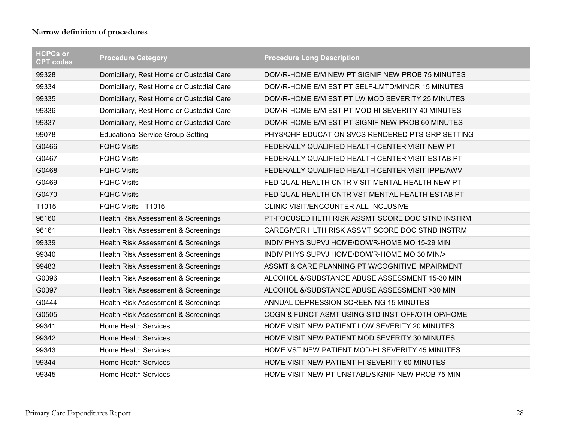| <b>HCPCs or</b><br><b>CPT codes</b> | <b>Procedure Category</b>                | <b>Procedure Long Description</b>                |
|-------------------------------------|------------------------------------------|--------------------------------------------------|
| 99328                               | Domiciliary, Rest Home or Custodial Care | DOM/R-HOME E/M NEW PT SIGNIF NEW PROB 75 MINUTES |
| 99334                               | Domiciliary, Rest Home or Custodial Care | DOM/R-HOME E/M EST PT SELF-LMTD/MINOR 15 MINUTES |
| 99335                               | Domiciliary, Rest Home or Custodial Care | DOM/R-HOME E/M EST PT LW MOD SEVERITY 25 MINUTES |
| 99336                               | Domiciliary, Rest Home or Custodial Care | DOM/R-HOME E/M EST PT MOD HI SEVERITY 40 MINUTES |
| 99337                               | Domiciliary, Rest Home or Custodial Care | DOM/R-HOME E/M EST PT SIGNIF NEW PROB 60 MINUTES |
| 99078                               | <b>Educational Service Group Setting</b> | PHYS/QHP EDUCATION SVCS RENDERED PTS GRP SETTING |
| G0466                               | <b>FQHC Visits</b>                       | FEDERALLY QUALIFIED HEALTH CENTER VISIT NEW PT   |
| G0467                               | <b>FQHC Visits</b>                       | FEDERALLY QUALIFIED HEALTH CENTER VISIT ESTAB PT |
| G0468                               | <b>FQHC Visits</b>                       | FEDERALLY QUALIFIED HEALTH CENTER VISIT IPPE/AWV |
| G0469                               | <b>FQHC Visits</b>                       | FED QUAL HEALTH CNTR VISIT MENTAL HEALTH NEW PT  |
| G0470                               | <b>FQHC Visits</b>                       | FED QUAL HEALTH CNTR VST MENTAL HEALTH ESTAB PT  |
| T1015                               | FQHC Visits - T1015                      | CLINIC VISIT/ENCOUNTER ALL-INCLUSIVE             |
| 96160                               | Health Risk Assessment & Screenings      | PT-FOCUSED HLTH RISK ASSMT SCORE DOC STND INSTRM |
| 96161                               | Health Risk Assessment & Screenings      | CAREGIVER HLTH RISK ASSMT SCORE DOC STND INSTRM  |
| 99339                               | Health Risk Assessment & Screenings      | INDIV PHYS SUPVJ HOME/DOM/R-HOME MO 15-29 MIN    |
| 99340                               | Health Risk Assessment & Screenings      | INDIV PHYS SUPVJ HOME/DOM/R-HOME MO 30 MIN/>     |
| 99483                               | Health Risk Assessment & Screenings      | ASSMT & CARE PLANNING PT W/COGNITIVE IMPAIRMENT  |
| G0396                               | Health Risk Assessment & Screenings      | ALCOHOL &/SUBSTANCE ABUSE ASSESSMENT 15-30 MIN   |
| G0397                               | Health Risk Assessment & Screenings      | ALCOHOL &/SUBSTANCE ABUSE ASSESSMENT >30 MIN     |
| G0444                               | Health Risk Assessment & Screenings      | ANNUAL DEPRESSION SCREENING 15 MINUTES           |
| G0505                               | Health Risk Assessment & Screenings      | COGN & FUNCT ASMT USING STD INST OFF/OTH OP/HOME |
| 99341                               | <b>Home Health Services</b>              | HOME VISIT NEW PATIENT LOW SEVERITY 20 MINUTES   |
| 99342                               | <b>Home Health Services</b>              | HOME VISIT NEW PATIENT MOD SEVERITY 30 MINUTES   |
| 99343                               | <b>Home Health Services</b>              | HOME VST NEW PATIENT MOD-HI SEVERITY 45 MINUTES  |
| 99344                               | <b>Home Health Services</b>              | HOME VISIT NEW PATIENT HI SEVERITY 60 MINUTES    |
| 99345                               | <b>Home Health Services</b>              | HOME VISIT NEW PT UNSTABL/SIGNIF NEW PROB 75 MIN |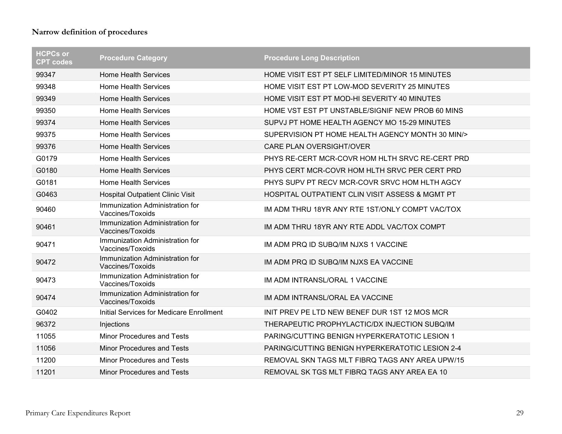| <b>HCPCs or</b><br><b>CPT codes</b> | <b>Procedure Category</b>                           | <b>Procedure Long Description</b>                |
|-------------------------------------|-----------------------------------------------------|--------------------------------------------------|
| 99347                               | <b>Home Health Services</b>                         | HOME VISIT EST PT SELF LIMITED/MINOR 15 MINUTES  |
| 99348                               | <b>Home Health Services</b>                         | HOME VISIT EST PT LOW-MOD SEVERITY 25 MINUTES    |
| 99349                               | <b>Home Health Services</b>                         | HOME VISIT EST PT MOD-HI SEVERITY 40 MINUTES     |
| 99350                               | <b>Home Health Services</b>                         | HOME VST EST PT UNSTABLE/SIGNIF NEW PROB 60 MINS |
| 99374                               | <b>Home Health Services</b>                         | SUPVJ PT HOME HEALTH AGENCY MO 15-29 MINUTES     |
| 99375                               | <b>Home Health Services</b>                         | SUPERVISION PT HOME HEALTH AGENCY MONTH 30 MIN/> |
| 99376                               | <b>Home Health Services</b>                         | CARE PLAN OVERSIGHT/OVER                         |
| G0179                               | <b>Home Health Services</b>                         | PHYS RE-CERT MCR-COVR HOM HLTH SRVC RE-CERT PRD  |
| G0180                               | <b>Home Health Services</b>                         | PHYS CERT MCR-COVR HOM HLTH SRVC PER CERT PRD    |
| G0181                               | <b>Home Health Services</b>                         | PHYS SUPV PT RECV MCR-COVR SRVC HOM HLTH AGCY    |
| G0463                               | <b>Hospital Outpatient Clinic Visit</b>             | HOSPITAL OUTPATIENT CLIN VISIT ASSESS & MGMT PT  |
| 90460                               | Immunization Administration for<br>Vaccines/Toxoids | IM ADM THRU 18YR ANY RTE 1ST/ONLY COMPT VAC/TOX  |
| 90461                               | Immunization Administration for<br>Vaccines/Toxoids | IM ADM THRU 18YR ANY RTE ADDL VAC/TOX COMPT      |
| 90471                               | Immunization Administration for<br>Vaccines/Toxoids | IM ADM PRQ ID SUBQ/IM NJXS 1 VACCINE             |
| 90472                               | Immunization Administration for<br>Vaccines/Toxoids | IM ADM PRQ ID SUBQ/IM NJXS EA VACCINE            |
| 90473                               | Immunization Administration for<br>Vaccines/Toxoids | IM ADM INTRANSL/ORAL 1 VACCINE                   |
| 90474                               | Immunization Administration for<br>Vaccines/Toxoids | IM ADM INTRANSL/ORAL EA VACCINE                  |
| G0402                               | Initial Services for Medicare Enrollment            | INIT PREV PE LTD NEW BENEF DUR 1ST 12 MOS MCR    |
| 96372                               | Injections                                          | THERAPEUTIC PROPHYLACTIC/DX INJECTION SUBQ/IM    |
| 11055                               | <b>Minor Procedures and Tests</b>                   | PARING/CUTTING BENIGN HYPERKERATOTIC LESION 1    |
| 11056                               | <b>Minor Procedures and Tests</b>                   | PARING/CUTTING BENIGN HYPERKERATOTIC LESION 2-4  |
| 11200                               | <b>Minor Procedures and Tests</b>                   | REMOVAL SKN TAGS MLT FIBRQ TAGS ANY AREA UPW/15  |
| 11201                               | Minor Procedures and Tests                          | REMOVAL SK TGS MLT FIBRQ TAGS ANY AREA EA 10     |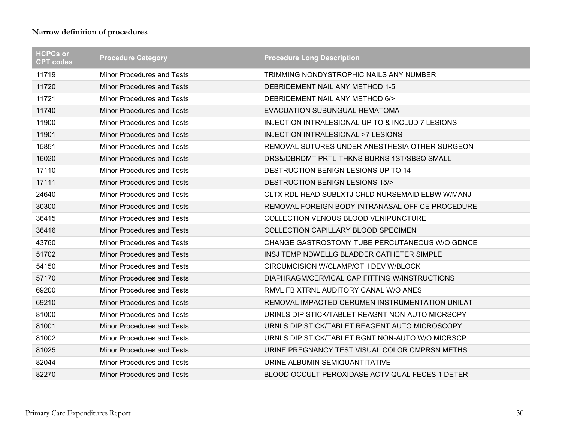| <b>HCPCs or</b><br><b>CPT codes</b> | <b>Procedure Category</b>         | <b>Procedure Long Description</b>                |
|-------------------------------------|-----------------------------------|--------------------------------------------------|
| 11719                               | <b>Minor Procedures and Tests</b> | TRIMMING NONDYSTROPHIC NAILS ANY NUMBER          |
| 11720                               | Minor Procedures and Tests        | DEBRIDEMENT NAIL ANY METHOD 1-5                  |
| 11721                               | <b>Minor Procedures and Tests</b> | DEBRIDEMENT NAIL ANY METHOD 6/>                  |
| 11740                               | <b>Minor Procedures and Tests</b> | EVACUATION SUBUNGUAL HEMATOMA                    |
| 11900                               | <b>Minor Procedures and Tests</b> | INJECTION INTRALESIONAL UP TO & INCLUD 7 LESIONS |
| 11901                               | <b>Minor Procedures and Tests</b> | <b>INJECTION INTRALESIONAL &gt;7 LESIONS</b>     |
| 15851                               | <b>Minor Procedures and Tests</b> | REMOVAL SUTURES UNDER ANESTHESIA OTHER SURGEON   |
| 16020                               | <b>Minor Procedures and Tests</b> | DRS&/DBRDMT PRTL-THKNS BURNS 1ST/SBSQ SMALL      |
| 17110                               | Minor Procedures and Tests        | DESTRUCTION BENIGN LESIONS UP TO 14              |
| 17111                               | <b>Minor Procedures and Tests</b> | <b>DESTRUCTION BENIGN LESIONS 15/&gt;</b>        |
| 24640                               | Minor Procedures and Tests        | CLTX RDL HEAD SUBLXTJ CHLD NURSEMAID ELBW W/MANJ |
| 30300                               | <b>Minor Procedures and Tests</b> | REMOVAL FOREIGN BODY INTRANASAL OFFICE PROCEDURE |
| 36415                               | <b>Minor Procedures and Tests</b> | COLLECTION VENOUS BLOOD VENIPUNCTURE             |
| 36416                               | <b>Minor Procedures and Tests</b> | <b>COLLECTION CAPILLARY BLOOD SPECIMEN</b>       |
| 43760                               | <b>Minor Procedures and Tests</b> | CHANGE GASTROSTOMY TUBE PERCUTANEOUS W/O GDNCE   |
| 51702                               | <b>Minor Procedures and Tests</b> | INSJ TEMP NDWELLG BLADDER CATHETER SIMPLE        |
| 54150                               | Minor Procedures and Tests        | CIRCUMCISION W/CLAMP/OTH DEV W/BLOCK             |
| 57170                               | <b>Minor Procedures and Tests</b> | DIAPHRAGM/CERVICAL CAP FITTING W/INSTRUCTIONS    |
| 69200                               | <b>Minor Procedures and Tests</b> | RMVL FB XTRNL AUDITORY CANAL W/O ANES            |
| 69210                               | <b>Minor Procedures and Tests</b> | REMOVAL IMPACTED CERUMEN INSTRUMENTATION UNILAT  |
| 81000                               | <b>Minor Procedures and Tests</b> | URINLS DIP STICK/TABLET REAGNT NON-AUTO MICRSCPY |
| 81001                               | <b>Minor Procedures and Tests</b> | URNLS DIP STICK/TABLET REAGENT AUTO MICROSCOPY   |
| 81002                               | <b>Minor Procedures and Tests</b> | URNLS DIP STICK/TABLET RGNT NON-AUTO W/O MICRSCP |
| 81025                               | <b>Minor Procedures and Tests</b> | URINE PREGNANCY TEST VISUAL COLOR CMPRSN METHS   |
| 82044                               | <b>Minor Procedures and Tests</b> | URINE ALBUMIN SEMIQUANTITATIVE                   |
| 82270                               | <b>Minor Procedures and Tests</b> | BLOOD OCCULT PEROXIDASE ACTV QUAL FECES 1 DETER  |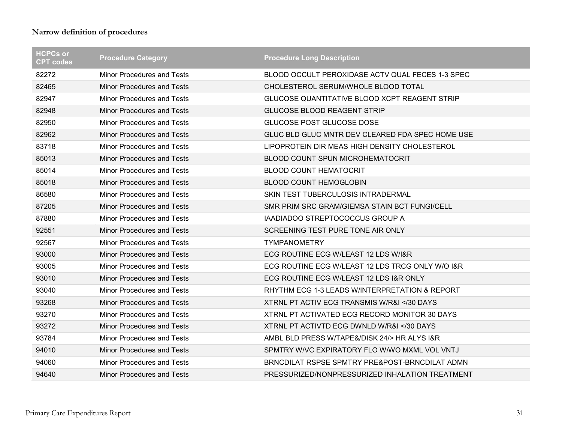| <b>HCPCs or</b><br><b>CPT codes</b> | <b>Procedure Category</b>         | <b>Procedure Long Description</b>                    |
|-------------------------------------|-----------------------------------|------------------------------------------------------|
| 82272                               | <b>Minor Procedures and Tests</b> | BLOOD OCCULT PEROXIDASE ACTV QUAL FECES 1-3 SPEC     |
| 82465                               | Minor Procedures and Tests        | CHOLESTEROL SERUM/WHOLE BLOOD TOTAL                  |
| 82947                               | <b>Minor Procedures and Tests</b> | <b>GLUCOSE QUANTITATIVE BLOOD XCPT REAGENT STRIP</b> |
| 82948                               | <b>Minor Procedures and Tests</b> | <b>GLUCOSE BLOOD REAGENT STRIP</b>                   |
| 82950                               | <b>Minor Procedures and Tests</b> | GLUCOSE POST GLUCOSE DOSE                            |
| 82962                               | <b>Minor Procedures and Tests</b> | GLUC BLD GLUC MNTR DEV CLEARED FDA SPEC HOME USE     |
| 83718                               | <b>Minor Procedures and Tests</b> | LIPOPROTEIN DIR MEAS HIGH DENSITY CHOLESTEROL        |
| 85013                               | <b>Minor Procedures and Tests</b> | BLOOD COUNT SPUN MICROHEMATOCRIT                     |
| 85014                               | <b>Minor Procedures and Tests</b> | <b>BLOOD COUNT HEMATOCRIT</b>                        |
| 85018                               | <b>Minor Procedures and Tests</b> | <b>BLOOD COUNT HEMOGLOBIN</b>                        |
| 86580                               | <b>Minor Procedures and Tests</b> | SKIN TEST TUBERCULOSIS INTRADERMAL                   |
| 87205                               | <b>Minor Procedures and Tests</b> | SMR PRIM SRC GRAM/GIEMSA STAIN BCT FUNGI/CELL        |
| 87880                               | <b>Minor Procedures and Tests</b> | IAADIADOO STREPTOCOCCUS GROUP A                      |
| 92551                               | <b>Minor Procedures and Tests</b> | SCREENING TEST PURE TONE AIR ONLY                    |
| 92567                               | <b>Minor Procedures and Tests</b> | <b>TYMPANOMETRY</b>                                  |
| 93000                               | <b>Minor Procedures and Tests</b> | ECG ROUTINE ECG W/LEAST 12 LDS W/I&R                 |
| 93005                               | Minor Procedures and Tests        | ECG ROUTINE ECG W/LEAST 12 LDS TRCG ONLY W/O I&R     |
| 93010                               | <b>Minor Procedures and Tests</b> | ECG ROUTINE ECG W/LEAST 12 LDS I&R ONLY              |
| 93040                               | <b>Minor Procedures and Tests</b> | RHYTHM ECG 1-3 LEADS W/INTERPRETATION & REPORT       |
| 93268                               | <b>Minor Procedures and Tests</b> | XTRNL PT ACTIV ECG TRANSMIS W/R&I 30 DAYS</th        |
| 93270                               | Minor Procedures and Tests        | XTRNL PT ACTIVATED ECG RECORD MONITOR 30 DAYS        |
| 93272                               | <b>Minor Procedures and Tests</b> | XTRNL PT ACTIVTD ECG DWNLD W/R&I 30 DAYS</th         |
| 93784                               | <b>Minor Procedures and Tests</b> | AMBL BLD PRESS W/TAPE&/DISK 24/> HR ALYS I&R         |
| 94010                               | <b>Minor Procedures and Tests</b> | SPMTRY W/VC EXPIRATORY FLO W/WO MXML VOL VNTJ        |
| 94060                               | <b>Minor Procedures and Tests</b> | BRNCDILAT RSPSE SPMTRY PRE&POST-BRNCDILAT ADMN       |
| 94640                               | <b>Minor Procedures and Tests</b> | PRESSURIZED/NONPRESSURIZED INHALATION TREATMENT      |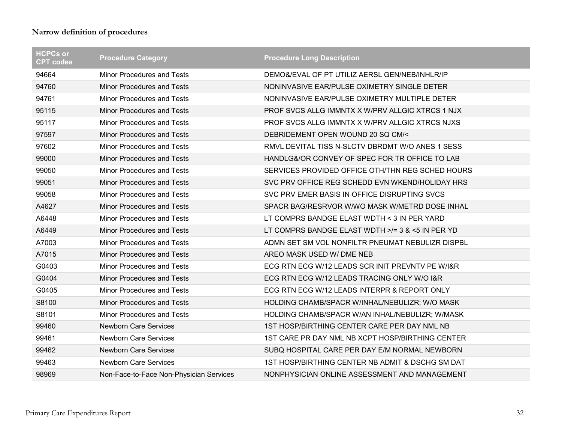| <b>HCPCs or</b><br><b>CPT codes</b> | <b>Procedure Category</b>               | <b>Procedure Long Description</b>                |
|-------------------------------------|-----------------------------------------|--------------------------------------------------|
| 94664                               | <b>Minor Procedures and Tests</b>       | DEMO&/EVAL OF PT UTILIZ AERSL GEN/NEB/INHLR/IP   |
| 94760                               | <b>Minor Procedures and Tests</b>       | NONINVASIVE EAR/PULSE OXIMETRY SINGLE DETER      |
| 94761                               | <b>Minor Procedures and Tests</b>       | NONINVASIVE EAR/PULSE OXIMETRY MULTIPLE DETER    |
| 95115                               | <b>Minor Procedures and Tests</b>       | PROF SVCS ALLG IMMNTX X W/PRV ALLGIC XTRCS 1 NJX |
| 95117                               | <b>Minor Procedures and Tests</b>       | PROF SVCS ALLG IMMNTX X W/PRV ALLGIC XTRCS NJXS  |
| 97597                               | <b>Minor Procedures and Tests</b>       | DEBRIDEMENT OPEN WOUND 20 SQ CM/<                |
| 97602                               | <b>Minor Procedures and Tests</b>       | RMVL DEVITAL TISS N-SLCTV DBRDMT W/O ANES 1 SESS |
| 99000                               | <b>Minor Procedures and Tests</b>       | HANDLG&/OR CONVEY OF SPEC FOR TR OFFICE TO LAB   |
| 99050                               | <b>Minor Procedures and Tests</b>       | SERVICES PROVIDED OFFICE OTH/THN REG SCHED HOURS |
| 99051                               | <b>Minor Procedures and Tests</b>       | SVC PRV OFFICE REG SCHEDD EVN WKEND/HOLIDAY HRS  |
| 99058                               | <b>Minor Procedures and Tests</b>       | SVC PRV EMER BASIS IN OFFICE DISRUPTING SVCS     |
| A4627                               | <b>Minor Procedures and Tests</b>       | SPACR BAG/RESRVOR W/WO MASK W/METRD DOSE INHAL   |
| A6448                               | <b>Minor Procedures and Tests</b>       | LT COMPRS BANDGE ELAST WDTH < 3 IN PER YARD      |
| A6449                               | <b>Minor Procedures and Tests</b>       | LT COMPRS BANDGE ELAST WDTH >/= 3 & <5 IN PER YD |
| A7003                               | <b>Minor Procedures and Tests</b>       | ADMN SET SM VOL NONFILTR PNEUMAT NEBULIZR DISPBL |
| A7015                               | <b>Minor Procedures and Tests</b>       | AREO MASK USED W/ DME NEB                        |
| G0403                               | <b>Minor Procedures and Tests</b>       | ECG RTN ECG W/12 LEADS SCR INIT PREVNTV PE W/I&R |
| G0404                               | <b>Minor Procedures and Tests</b>       | ECG RTN ECG W/12 LEADS TRACING ONLY W/O I&R      |
| G0405                               | <b>Minor Procedures and Tests</b>       | ECG RTN ECG W/12 LEADS INTERPR & REPORT ONLY     |
| S8100                               | <b>Minor Procedures and Tests</b>       | HOLDING CHAMB/SPACR W/INHAL/NEBULIZR; W/O MASK   |
| S8101                               | <b>Minor Procedures and Tests</b>       | HOLDING CHAMB/SPACR W/AN INHAL/NEBULIZR; W/MASK  |
| 99460                               | <b>Newborn Care Services</b>            | 1ST HOSP/BIRTHING CENTER CARE PER DAY NML NB     |
| 99461                               | <b>Newborn Care Services</b>            | 1ST CARE PR DAY NML NB XCPT HOSP/BIRTHING CENTER |
| 99462                               | <b>Newborn Care Services</b>            | SUBQ HOSPITAL CARE PER DAY E/M NORMAL NEWBORN    |
| 99463                               | <b>Newborn Care Services</b>            | 1ST HOSP/BIRTHING CENTER NB ADMIT & DSCHG SM DAT |
| 98969                               | Non-Face-to-Face Non-Physician Services | NONPHYSICIAN ONLINE ASSESSMENT AND MANAGEMENT    |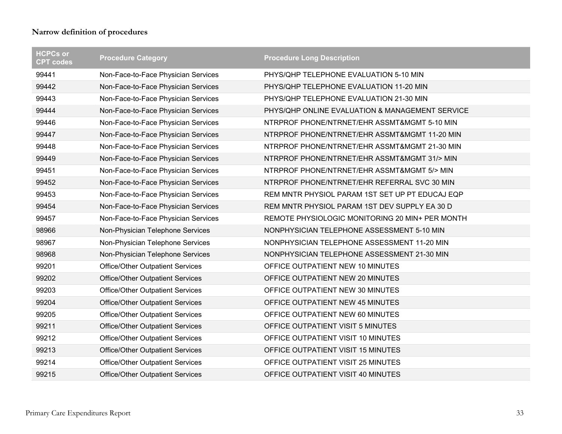| <b>HCPCs or</b><br><b>CPT codes</b> | <b>Procedure Category</b>               | <b>Procedure Long Description</b>               |
|-------------------------------------|-----------------------------------------|-------------------------------------------------|
| 99441                               | Non-Face-to-Face Physician Services     | PHYS/QHP TELEPHONE EVALUATION 5-10 MIN          |
| 99442                               | Non-Face-to-Face Physician Services     | PHYS/QHP TELEPHONE EVALUATION 11-20 MIN         |
| 99443                               | Non-Face-to-Face Physician Services     | PHYS/QHP TELEPHONE EVALUATION 21-30 MIN         |
| 99444                               | Non-Face-to-Face Physician Services     | PHYS/QHP ONLINE EVALUATION & MANAGEMENT SERVICE |
| 99446                               | Non-Face-to-Face Physician Services     | NTRPROF PHONE/NTRNET/EHR ASSMT&MGMT 5-10 MIN    |
| 99447                               | Non-Face-to-Face Physician Services     | NTRPROF PHONE/NTRNET/EHR ASSMT&MGMT 11-20 MIN   |
| 99448                               | Non-Face-to-Face Physician Services     | NTRPROF PHONE/NTRNET/EHR ASSMT&MGMT 21-30 MIN   |
| 99449                               | Non-Face-to-Face Physician Services     | NTRPROF PHONE/NTRNET/EHR ASSMT&MGMT 31/> MIN    |
| 99451                               | Non-Face-to-Face Physician Services     | NTRPROF PHONE/NTRNET/EHR ASSMT&MGMT 5/> MIN     |
| 99452                               | Non-Face-to-Face Physician Services     | NTRPROF PHONE/NTRNET/EHR REFERRAL SVC 30 MIN    |
| 99453                               | Non-Face-to-Face Physician Services     | REM MNTR PHYSIOL PARAM 1ST SET UP PT EDUCAJ EQP |
| 99454                               | Non-Face-to-Face Physician Services     | REM MNTR PHYSIOL PARAM 1ST DEV SUPPLY EA 30 D   |
| 99457                               | Non-Face-to-Face Physician Services     | REMOTE PHYSIOLOGIC MONITORING 20 MIN+ PER MONTH |
| 98966                               | Non-Physician Telephone Services        | NONPHYSICIAN TELEPHONE ASSESSMENT 5-10 MIN      |
| 98967                               | Non-Physician Telephone Services        | NONPHYSICIAN TELEPHONE ASSESSMENT 11-20 MIN     |
| 98968                               | Non-Physician Telephone Services        | NONPHYSICIAN TELEPHONE ASSESSMENT 21-30 MIN     |
| 99201                               | <b>Office/Other Outpatient Services</b> | OFFICE OUTPATIENT NEW 10 MINUTES                |
| 99202                               | <b>Office/Other Outpatient Services</b> | OFFICE OUTPATIENT NEW 20 MINUTES                |
| 99203                               | <b>Office/Other Outpatient Services</b> | OFFICE OUTPATIENT NEW 30 MINUTES                |
| 99204                               | <b>Office/Other Outpatient Services</b> | OFFICE OUTPATIENT NEW 45 MINUTES                |
| 99205                               | <b>Office/Other Outpatient Services</b> | OFFICE OUTPATIENT NEW 60 MINUTES                |
| 99211                               | <b>Office/Other Outpatient Services</b> | OFFICE OUTPATIENT VISIT 5 MINUTES               |
| 99212                               | <b>Office/Other Outpatient Services</b> | OFFICE OUTPATIENT VISIT 10 MINUTES              |
| 99213                               | <b>Office/Other Outpatient Services</b> | OFFICE OUTPATIENT VISIT 15 MINUTES              |
| 99214                               | <b>Office/Other Outpatient Services</b> | OFFICE OUTPATIENT VISIT 25 MINUTES              |
| 99215                               | <b>Office/Other Outpatient Services</b> | OFFICE OUTPATIENT VISIT 40 MINUTES              |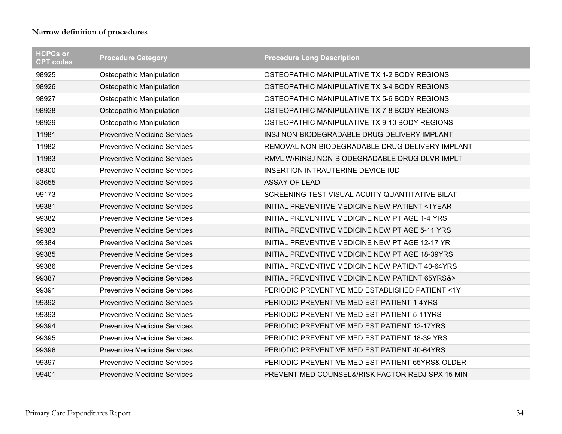| <b>HCPCs or</b><br><b>CPT</b> codes | <b>Procedure Category</b>           | <b>Procedure Long Description</b>                |
|-------------------------------------|-------------------------------------|--------------------------------------------------|
| 98925                               | Osteopathic Manipulation            | OSTEOPATHIC MANIPULATIVE TX 1-2 BODY REGIONS     |
| 98926                               | Osteopathic Manipulation            | OSTEOPATHIC MANIPULATIVE TX 3-4 BODY REGIONS     |
| 98927                               | Osteopathic Manipulation            | OSTEOPATHIC MANIPULATIVE TX 5-6 BODY REGIONS     |
| 98928                               | Osteopathic Manipulation            | OSTEOPATHIC MANIPULATIVE TX 7-8 BODY REGIONS     |
| 98929                               | Osteopathic Manipulation            | OSTEOPATHIC MANIPULATIVE TX 9-10 BODY REGIONS    |
| 11981                               | <b>Preventive Medicine Services</b> | INSJ NON-BIODEGRADABLE DRUG DELIVERY IMPLANT     |
| 11982                               | <b>Preventive Medicine Services</b> | REMOVAL NON-BIODEGRADABLE DRUG DELIVERY IMPLANT  |
| 11983                               | <b>Preventive Medicine Services</b> | RMVL W/RINSJ NON-BIODEGRADABLE DRUG DLVR IMPLT   |
| 58300                               | <b>Preventive Medicine Services</b> | INSERTION INTRAUTERINE DEVICE IUD                |
| 83655                               | <b>Preventive Medicine Services</b> | <b>ASSAY OF LEAD</b>                             |
| 99173                               | <b>Preventive Medicine Services</b> | SCREENING TEST VISUAL ACUITY QUANTITATIVE BILAT  |
| 99381                               | <b>Preventive Medicine Services</b> | INITIAL PREVENTIVE MEDICINE NEW PATIENT <1YEAR   |
| 99382                               | <b>Preventive Medicine Services</b> | INITIAL PREVENTIVE MEDICINE NEW PT AGE 1-4 YRS   |
| 99383                               | <b>Preventive Medicine Services</b> | INITIAL PREVENTIVE MEDICINE NEW PT AGE 5-11 YRS  |
| 99384                               | <b>Preventive Medicine Services</b> | INITIAL PREVENTIVE MEDICINE NEW PT AGE 12-17 YR  |
| 99385                               | <b>Preventive Medicine Services</b> | INITIAL PREVENTIVE MEDICINE NEW PT AGE 18-39YRS  |
| 99386                               | <b>Preventive Medicine Services</b> | INITIAL PREVENTIVE MEDICINE NEW PATIENT 40-64YRS |
| 99387                               | <b>Preventive Medicine Services</b> | INITIAL PREVENTIVE MEDICINE NEW PATIENT 65YRS&>  |
| 99391                               | <b>Preventive Medicine Services</b> | PERIODIC PREVENTIVE MED ESTABLISHED PATIENT <1Y  |
| 99392                               | <b>Preventive Medicine Services</b> | PERIODIC PREVENTIVE MED EST PATIENT 1-4YRS       |
| 99393                               | <b>Preventive Medicine Services</b> | PERIODIC PREVENTIVE MED EST PATIENT 5-11YRS      |
| 99394                               | <b>Preventive Medicine Services</b> | PERIODIC PREVENTIVE MED EST PATIENT 12-17YRS     |
| 99395                               | <b>Preventive Medicine Services</b> | PERIODIC PREVENTIVE MED EST PATIENT 18-39 YRS    |
| 99396                               | <b>Preventive Medicine Services</b> | PERIODIC PREVENTIVE MED EST PATIENT 40-64YRS     |
| 99397                               | <b>Preventive Medicine Services</b> | PERIODIC PREVENTIVE MED EST PATIENT 65YRS& OLDER |
| 99401                               | <b>Preventive Medicine Services</b> | PREVENT MED COUNSEL&/RISK FACTOR REDJ SPX 15 MIN |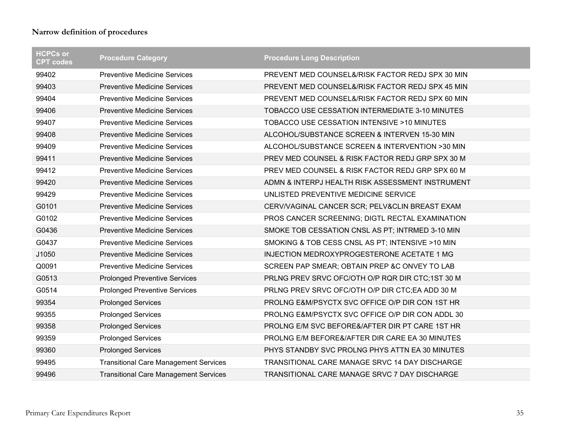| <b>HCPCs or</b><br><b>CPT codes</b> | <b>Procedure Category</b>                    | <b>Procedure Long Description</b>                |
|-------------------------------------|----------------------------------------------|--------------------------------------------------|
| 99402                               | <b>Preventive Medicine Services</b>          | PREVENT MED COUNSEL&/RISK FACTOR REDJ SPX 30 MIN |
| 99403                               | <b>Preventive Medicine Services</b>          | PREVENT MED COUNSEL&/RISK FACTOR REDJ SPX 45 MIN |
| 99404                               | <b>Preventive Medicine Services</b>          | PREVENT MED COUNSEL&/RISK FACTOR REDJ SPX 60 MIN |
| 99406                               | <b>Preventive Medicine Services</b>          | TOBACCO USE CESSATION INTERMEDIATE 3-10 MINUTES  |
| 99407                               | <b>Preventive Medicine Services</b>          | TOBACCO USE CESSATION INTENSIVE >10 MINUTES      |
| 99408                               | <b>Preventive Medicine Services</b>          | ALCOHOL/SUBSTANCE SCREEN & INTERVEN 15-30 MIN    |
| 99409                               | <b>Preventive Medicine Services</b>          | ALCOHOL/SUBSTANCE SCREEN & INTERVENTION >30 MIN  |
| 99411                               | <b>Preventive Medicine Services</b>          | PREV MED COUNSEL & RISK FACTOR REDJ GRP SPX 30 M |
| 99412                               | <b>Preventive Medicine Services</b>          | PREV MED COUNSEL & RISK FACTOR REDJ GRP SPX 60 M |
| 99420                               | <b>Preventive Medicine Services</b>          | ADMN & INTERPJ HEALTH RISK ASSESSMENT INSTRUMENT |
| 99429                               | <b>Preventive Medicine Services</b>          | UNLISTED PREVENTIVE MEDICINE SERVICE             |
| G0101                               | <b>Preventive Medicine Services</b>          | CERV/VAGINAL CANCER SCR; PELV&CLIN BREAST EXAM   |
| G0102                               | <b>Preventive Medicine Services</b>          | PROS CANCER SCREENING; DIGTL RECTAL EXAMINATION  |
| G0436                               | <b>Preventive Medicine Services</b>          | SMOKE TOB CESSATION CNSL AS PT; INTRMED 3-10 MIN |
| G0437                               | <b>Preventive Medicine Services</b>          | SMOKING & TOB CESS CNSL AS PT; INTENSIVE >10 MIN |
| J1050                               | <b>Preventive Medicine Services</b>          | INJECTION MEDROXYPROGESTERONE ACETATE 1 MG       |
| Q0091                               | <b>Preventive Medicine Services</b>          | SCREEN PAP SMEAR; OBTAIN PREP &C ONVEY TO LAB    |
| G0513                               | <b>Prolonged Preventive Services</b>         | PRLNG PREV SRVC OFC/OTH O/P RQR DIR CTC;1ST 30 M |
| G0514                               | <b>Prolonged Preventive Services</b>         | PRLNG PREV SRVC OFC/OTH O/P DIR CTC;EA ADD 30 M  |
| 99354                               | <b>Prolonged Services</b>                    | PROLNG E&M/PSYCTX SVC OFFICE O/P DIR CON 1ST HR  |
| 99355                               | <b>Prolonged Services</b>                    | PROLNG E&M/PSYCTX SVC OFFICE O/P DIR CON ADDL 30 |
| 99358                               | <b>Prolonged Services</b>                    | PROLNG E/M SVC BEFORE&/AFTER DIR PT CARE 1ST HR  |
| 99359                               | <b>Prolonged Services</b>                    | PROLNG E/M BEFORE&/AFTER DIR CARE EA 30 MINUTES  |
| 99360                               | <b>Prolonged Services</b>                    | PHYS STANDBY SVC PROLNG PHYS ATTN EA 30 MINUTES  |
| 99495                               | <b>Transitional Care Management Services</b> | TRANSITIONAL CARE MANAGE SRVC 14 DAY DISCHARGE   |
| 99496                               | <b>Transitional Care Management Services</b> | TRANSITIONAL CARE MANAGE SRVC 7 DAY DISCHARGE    |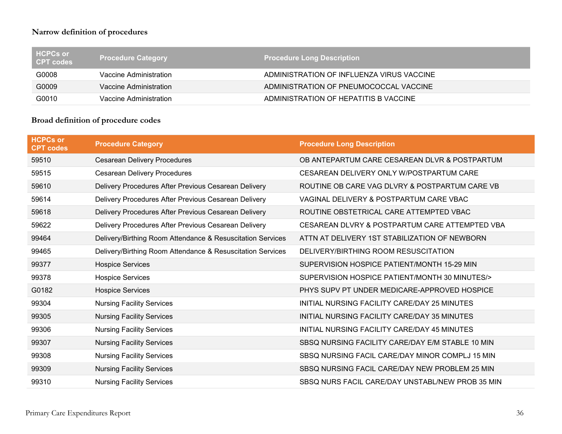| Ⅰ HCPCs or<br>CPT codes | <b>Procedure Category</b> | <b>Procedure Long Description</b>         |
|-------------------------|---------------------------|-------------------------------------------|
| G0008                   | Vaccine Administration    | ADMINISTRATION OF INFLUENZA VIRUS VACCINE |
| G0009                   | Vaccine Administration    | ADMINISTRATION OF PNEUMOCOCCAL VACCINE    |
| G0010                   | Vaccine Administration    | ADMINISTRATION OF HEPATITIS B VACCINE     |

#### **Broad definition of procedure codes**

| <b>HCPCs or</b><br><b>CPT codes</b> | <b>Procedure Category</b>                                  | <b>Procedure Long Description</b>                |
|-------------------------------------|------------------------------------------------------------|--------------------------------------------------|
| 59510                               | <b>Cesarean Delivery Procedures</b>                        | OB ANTEPARTUM CARE CESAREAN DLVR & POSTPARTUM    |
| 59515                               | <b>Cesarean Delivery Procedures</b>                        | CESAREAN DELIVERY ONLY W/POSTPARTUM CARE         |
| 59610                               | Delivery Procedures After Previous Cesarean Delivery       | ROUTINE OB CARE VAG DLVRY & POSTPARTUM CARE VB   |
| 59614                               | Delivery Procedures After Previous Cesarean Delivery       | VAGINAL DELIVERY & POSTPARTUM CARE VBAC          |
| 59618                               | Delivery Procedures After Previous Cesarean Delivery       | ROUTINE OBSTETRICAL CARE ATTEMPTED VBAC          |
| 59622                               | Delivery Procedures After Previous Cesarean Delivery       | CESAREAN DLVRY & POSTPARTUM CARE ATTEMPTED VBA   |
| 99464                               | Delivery/Birthing Room Attendance & Resuscitation Services | ATTN AT DELIVERY 1ST STABILIZATION OF NEWBORN    |
| 99465                               | Delivery/Birthing Room Attendance & Resuscitation Services | DELIVERY/BIRTHING ROOM RESUSCITATION             |
| 99377                               | <b>Hospice Services</b>                                    | SUPERVISION HOSPICE PATIENT/MONTH 15-29 MIN      |
| 99378                               | <b>Hospice Services</b>                                    | SUPERVISION HOSPICE PATIENT/MONTH 30 MINUTES/>   |
| G0182                               | <b>Hospice Services</b>                                    | PHYS SUPV PT UNDER MEDICARE-APPROVED HOSPICE     |
| 99304                               | <b>Nursing Facility Services</b>                           | INITIAL NURSING FACILITY CARE/DAY 25 MINUTES     |
| 99305                               | <b>Nursing Facility Services</b>                           | INITIAL NURSING FACILITY CARE/DAY 35 MINUTES     |
| 99306                               | <b>Nursing Facility Services</b>                           | INITIAL NURSING FACILITY CARE/DAY 45 MINUTES     |
| 99307                               | <b>Nursing Facility Services</b>                           | SBSQ NURSING FACILITY CARE/DAY E/M STABLE 10 MIN |
| 99308                               | <b>Nursing Facility Services</b>                           | SBSQ NURSING FACIL CARE/DAY MINOR COMPLJ 15 MIN  |
| 99309                               | <b>Nursing Facility Services</b>                           | SBSQ NURSING FACIL CARE/DAY NEW PROBLEM 25 MIN   |
| 99310                               | <b>Nursing Facility Services</b>                           | SBSQ NURS FACIL CARE/DAY UNSTABL/NEW PROB 35 MIN |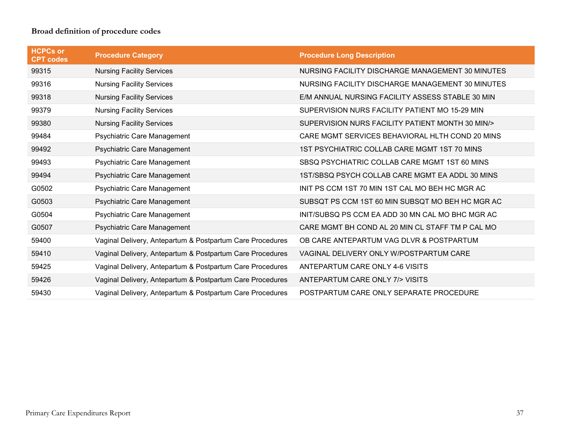## **Broad definition of procedure codes**

| <b>HCPCs or</b><br><b>CPT codes</b> | <b>Procedure Category</b>                                 | <b>Procedure Long Description</b>                |
|-------------------------------------|-----------------------------------------------------------|--------------------------------------------------|
| 99315                               | <b>Nursing Facility Services</b>                          | NURSING FACILITY DISCHARGE MANAGEMENT 30 MINUTES |
| 99316                               | <b>Nursing Facility Services</b>                          | NURSING FACILITY DISCHARGE MANAGEMENT 30 MINUTES |
| 99318                               | <b>Nursing Facility Services</b>                          | E/M ANNUAL NURSING FACILITY ASSESS STABLE 30 MIN |
| 99379                               | <b>Nursing Facility Services</b>                          | SUPERVISION NURS FACILITY PATIENT MO 15-29 MIN   |
| 99380                               | <b>Nursing Facility Services</b>                          | SUPERVISION NURS FACILITY PATIENT MONTH 30 MIN/> |
| 99484                               | Psychiatric Care Management                               | CARE MGMT SERVICES BEHAVIORAL HLTH COND 20 MINS  |
| 99492                               | Psychiatric Care Management                               | 1ST PSYCHIATRIC COLLAB CARE MGMT 1ST 70 MINS     |
| 99493                               | Psychiatric Care Management                               | SBSQ PSYCHIATRIC COLLAB CARE MGMT 1ST 60 MINS    |
| 99494                               | Psychiatric Care Management                               | 1ST/SBSQ PSYCH COLLAB CARE MGMT EA ADDL 30 MINS  |
| G0502                               | Psychiatric Care Management                               | INIT PS CCM 1ST 70 MIN 1ST CAL MO BEH HC MGR AC  |
| G0503                               | Psychiatric Care Management                               | SUBSQT PS CCM 1ST 60 MIN SUBSQT MO BEH HC MGR AC |
| G0504                               | Psychiatric Care Management                               | INIT/SUBSQ PS CCM EA ADD 30 MN CAL MO BHC MGR AC |
| G0507                               | Psychiatric Care Management                               | CARE MGMT BH COND AL 20 MIN CL STAFF TM P CAL MO |
| 59400                               | Vaginal Delivery, Antepartum & Postpartum Care Procedures | OB CARE ANTEPARTUM VAG DLVR & POSTPARTUM         |
| 59410                               | Vaginal Delivery, Antepartum & Postpartum Care Procedures | VAGINAL DELIVERY ONLY W/POSTPARTUM CARE          |
| 59425                               | Vaginal Delivery, Antepartum & Postpartum Care Procedures | ANTEPARTUM CARE ONLY 4-6 VISITS                  |
| 59426                               | Vaginal Delivery, Antepartum & Postpartum Care Procedures | ANTEPARTUM CARE ONLY 7/> VISITS                  |
| 59430                               | Vaginal Delivery, Antepartum & Postpartum Care Procedures | POSTPARTUM CARE ONLY SEPARATE PROCEDURE          |